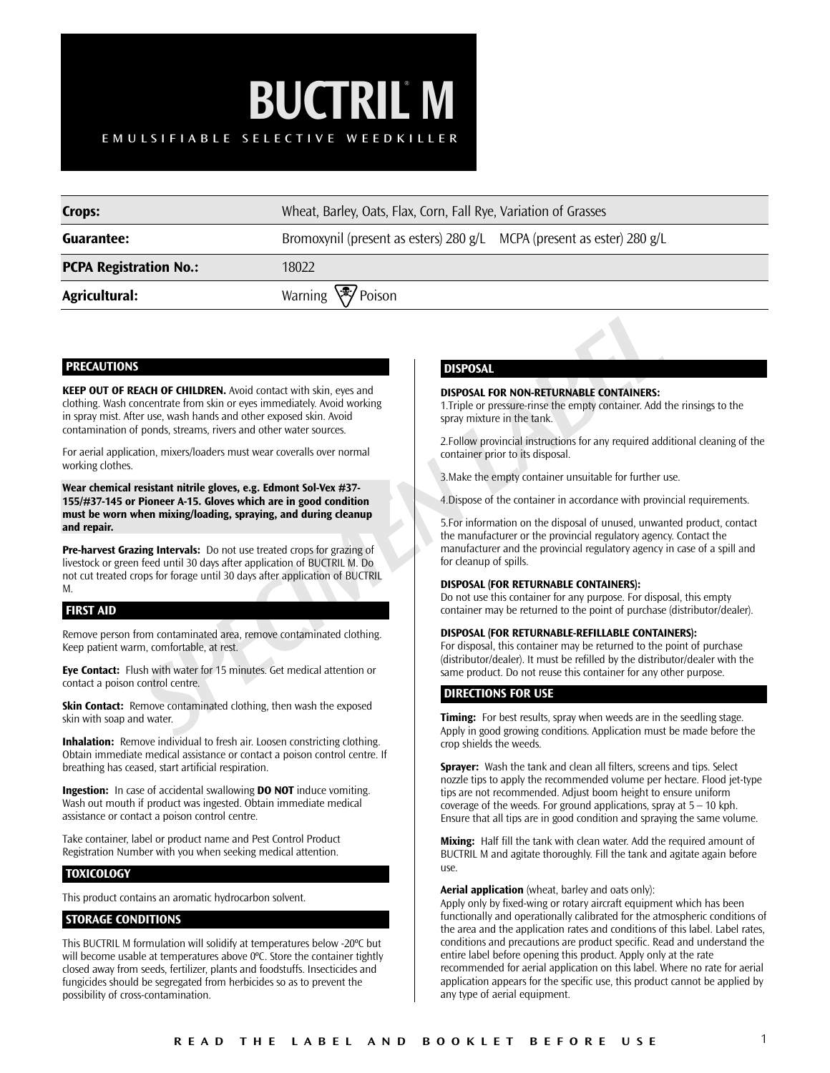# **BUCTRIL M** EMUL SIFIABLE SELECTIVE WEEDKILLER EMULSIFIABLE SELECTIVE WEEDKILLER

| <b>Crops:</b>                 | Wheat, Barley, Oats, Flax, Corn, Fall Rye, Variation of Grasses        |  |  |
|-------------------------------|------------------------------------------------------------------------|--|--|
| Guarantee:                    | Bromoxynil (present as esters) 280 g/L MCPA (present as ester) 280 g/L |  |  |
| <b>PCPA Registration No.:</b> | 18022                                                                  |  |  |
| Agricultural:                 | Warning √ <sup>•</sup> Poison                                          |  |  |

## **PRECAUTIONS**

**EXERCTIONER AND COLLEAR AND CONTAINERS:**<br>
SIMPOSAL FOR NON-RETURNABLE CONTAINERS:<br>
For us, wash hands and other exposed sin, Avoid contact with skin, eyes and<br>
LaTrighe or pressure-inner the tank<br>
the context pressure-inn **KEEP OUT OF REACH OF CHILDREN.** Avoid contact with skin, eyes and clothing. Wash concentrate from skin or eyes immediately. Avoid working in spray mist. After use, wash hands and other exposed skin. Avoid contamination of ponds, streams, rivers and other water sources.

For aerial application, mixers/loaders must wear coveralls over normal working clothes.

**Wear chemical resistant nitrile gloves, e.g. Edmont Sol-Vex #37- 155/#37-145 or Pioneer A-15. Gloves which are in good condition must be worn when mixing/loading, spraying, and during cleanup and repair.**

**Pre-harvest Grazing Intervals:** Do not use treated crops for grazing of livestock or green feed until 30 days after application of BUCTRIL M. Do not cut treated crops for forage until 30 days after application of BUCTRIL M.

### **FIRST AID**

Remove person from contaminated area, remove contaminated clothing. Keep patient warm, comfortable, at rest.

**Eye Contact:** Flush with water for 15 minutes. Get medical attention or contact a poison control centre.

**Skin Contact:** Remove contaminated clothing, then wash the exposed skin with soap and water.

**Inhalation:** Remove individual to fresh air. Loosen constricting clothing. Obtain immediate medical assistance or contact a poison control centre. If breathing has ceased, start artificial respiration.

**Ingestion:** In case of accidental swallowing **DO NOT** induce vomiting. Wash out mouth if product was ingested. Obtain immediate medical assistance or contact a poison control centre.

Take container, label or product name and Pest Control Product Registration Number with you when seeking medical attention.

# **TOXICOLOGY**

This product contains an aromatic hydrocarbon solvent.

### **STORAGE CONDITIONS**

This BUCTRIL M formulation will solidify at temperatures below -20ºC but will become usable at temperatures above 0°C. Store the container tightly closed away from seeds, fertilizer, plants and foodstuffs. Insecticides and fungicides should be segregated from herbicides so as to prevent the possibility of cross-contamination.

## **DISPOSAL**

#### **DISPOSAL FOR NON-RETURNABLE CONTAINERS:**

1.Triple or pressure-rinse the empty container. Add the rinsings to the spray mixture in the tank.

2.Follow provincial instructions for any required additional cleaning of the container prior to its disposal.

3.Make the empty container unsuitable for further use.

4.Dispose of the container in accordance with provincial requirements.

5.For information on the disposal of unused, unwanted product, contact the manufacturer or the provincial regulatory agency. Contact the manufacturer and the provincial regulatory agency in case of a spill and for cleanup of spills.

#### **DISPOSAL (FOR RETURNABLE CONTAINERS):**

Do not use this container for any purpose. For disposal, this empty container may be returned to the point of purchase (distributor/dealer).

### **DISPOSAL (FOR RETURNABLE-REFILLABLE CONTAINERS):**

For disposal, this container may be returned to the point of purchase (distributor/dealer). It must be refilled by the distributor/dealer with the same product. Do not reuse this container for any other purpose.

### **DIRECTIONS FOR USE**

**Timing:** For best results, spray when weeds are in the seedling stage. Apply in good growing conditions. Application must be made before the crop shields the weeds.

**Sprayer:** Wash the tank and clean all filters, screens and tips. Select nozzle tips to apply the recommended volume per hectare. Flood jet-type tips are not recommended. Adjust boom height to ensure uniform coverage of the weeds. For ground applications, spray at 5 – 10 kph. Ensure that all tips are in good condition and spraying the same volume.

**Mixing:** Half fill the tank with clean water. Add the required amount of BUCTRIL M and agitate thoroughly. Fill the tank and agitate again before use.

**Aerial application** (wheat, barley and oats only):

Apply only by fixed-wing or rotary aircraft equipment which has been functionally and operationally calibrated for the atmospheric conditions of the area and the application rates and conditions of this label. Label rates, conditions and precautions are product specific. Read and understand the entire label before opening this product. Apply only at the rate recommended for aerial application on this label. Where no rate for aerial application appears for the specific use, this product cannot be applied by any type of aerial equipment.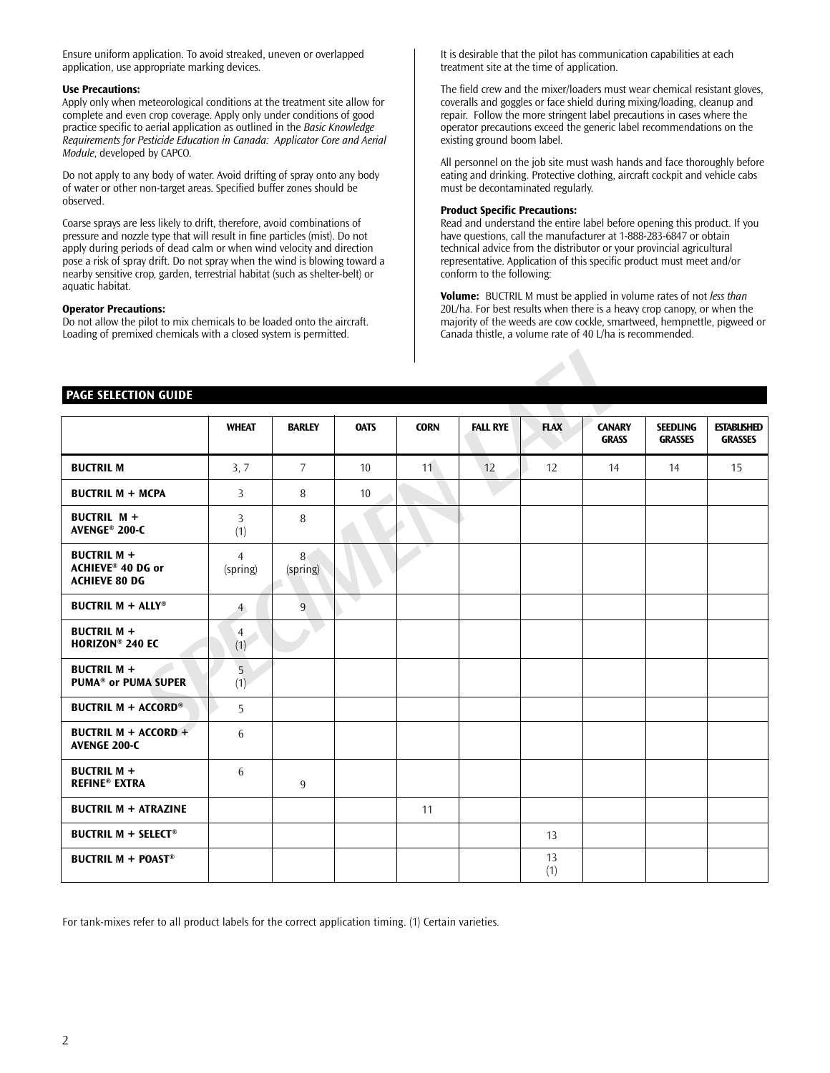Ensure uniform application. To avoid streaked, uneven or overlapped application, use appropriate marking devices.

### **Use Precautions:**

Apply only when meteorological conditions at the treatment site allow for complete and even crop coverage. Apply only under conditions of good practice specific to aerial application as outlined in the *Basic Knowledge Requirements for Pesticide Education in Canada: Applicator Core and Aerial Module*, developed by CAPCO.

Do not apply to any body of water. Avoid drifting of spray onto any body of water or other non-target areas. Specified buffer zones should be observed.

Coarse sprays are less likely to drift, therefore, avoid combinations of pressure and nozzle type that will result in fine particles (mist). Do not apply during periods of dead calm or when wind velocity and direction pose a risk of spray drift. Do not spray when the wind is blowing toward a nearby sensitive crop, garden, terrestrial habitat (such as shelter-belt) or aquatic habitat.

#### **Operator Precautions:**

Do not allow the pilot to mix chemicals to be loaded onto the aircraft. Loading of premixed chemicals with a closed system is permitted.

It is desirable that the pilot has communication capabilities at each treatment site at the time of application.

The field crew and the mixer/loaders must wear chemical resistant gloves, coveralls and goggles or face shield during mixing/loading, cleanup and repair. Follow the more stringent label precautions in cases where the operator precautions exceed the generic label recommendations on the existing ground boom label.

All personnel on the job site must wash hands and face thoroughly before eating and drinking. Protective clothing, aircraft cockpit and vehicle cabs must be decontaminated regularly.

#### **Product Specific Precautions:**

Read and understand the entire label before opening this product. If you have questions, call the manufacturer at 1-888-283-6847 or obtain technical advice from the distributor or your provincial agricultural representative. Application of this specific product must meet and/or conform to the following:

**Volume:** BUCTRIL M must be applied in volume rates of not *less than* 20L/ha. For best results when there is a heavy crop canopy, or when the majority of the weeds are cow cockle, smartweed, hempnettle, pigweed or Canada thistle, a volume rate of 40 L/ha is recommended.

## **PAGE SELECTION GUIDE**

| <b>PAGE SELECTION GUIDE</b>                                     |                            |                            |                 |             |                 |             |                               |                                   |                                      |
|-----------------------------------------------------------------|----------------------------|----------------------------|-----------------|-------------|-----------------|-------------|-------------------------------|-----------------------------------|--------------------------------------|
|                                                                 | <b>WHEAT</b>               | <b>BARLEY</b>              | <b>OATS</b>     | <b>CORN</b> | <b>FALL RYE</b> | <b>FLAX</b> | <b>CANARY</b><br><b>GRASS</b> | <b>SEEDLING</b><br><b>GRASSES</b> | <b>ESTABLISHED</b><br><b>GRASSES</b> |
| <b>BUCTRIL M</b>                                                | 3, 7                       | $\overline{7}$             | 10 <sup>1</sup> | 11          | 12              | 12          | 14                            | 14                                | 15                                   |
| <b>BUCTRIL M + MCPA</b>                                         | 3                          | 8                          | 10 <sup>°</sup> |             |                 |             |                               |                                   |                                      |
| <b>BUCTRIL M +</b><br>AVENGE <sup>®</sup> 200-C                 | 3<br>(1)                   | 8                          |                 |             |                 |             |                               |                                   |                                      |
| <b>BUCTRIL M +</b><br>ACHIEVE® 40 DG or<br><b>ACHIEVE 80 DG</b> | $\overline{4}$<br>(spring) | 8 <sub>1</sub><br>(spring) |                 |             |                 |             |                               |                                   |                                      |
| <b>BUCTRIL M + ALLY®</b>                                        | $\overline{4}$             | 9                          |                 |             |                 |             |                               |                                   |                                      |
| <b>BUCTRIL M +</b><br><b>HORIZON® 240 EC</b>                    | $\overline{4}$<br>(1)      |                            |                 |             |                 |             |                               |                                   |                                      |
| <b>BUCTRIL M +</b><br><b>PUMA<sup>®</sup> or PUMA SUPER</b>     | $\overline{5}$<br>(1)      |                            |                 |             |                 |             |                               |                                   |                                      |
| <b>BUCTRIL M + ACCORD®</b>                                      | 5                          |                            |                 |             |                 |             |                               |                                   |                                      |
| BUCTRIL M + ACCORD +<br>AVENGE 200-C                            | 6                          |                            |                 |             |                 |             |                               |                                   |                                      |
| <b>BUCTRIL M +</b><br><b>REFINE® EXTRA</b>                      | 6                          | 9                          |                 |             |                 |             |                               |                                   |                                      |
| <b>BUCTRIL M + ATRAZINE</b>                                     |                            |                            |                 | 11          |                 |             |                               |                                   |                                      |
| <b>BUCTRIL M + SELECT®</b>                                      |                            |                            |                 |             |                 | 13          |                               |                                   |                                      |
| <b>BUCTRIL M + POAST®</b>                                       |                            |                            |                 |             |                 | 13<br>(1)   |                               |                                   |                                      |

For tank-mixes refer to all product labels for the correct application timing. (1) Certain varieties.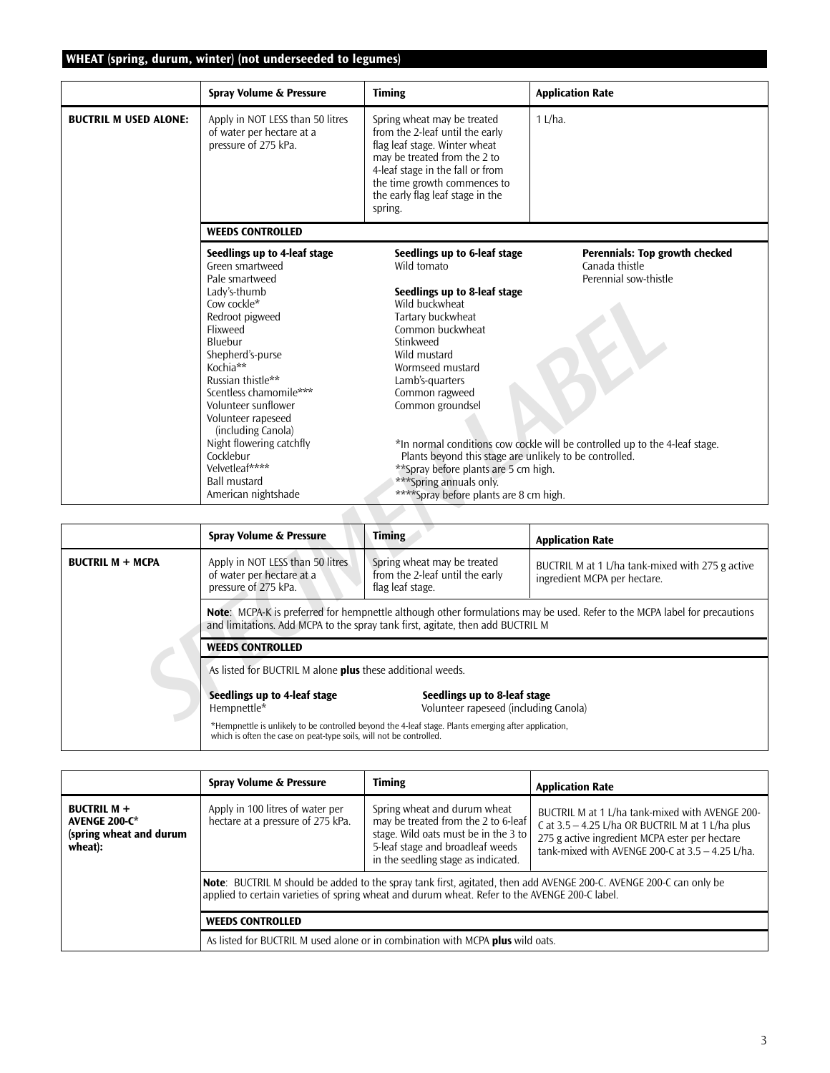# **WHEAT (spring, durum, winter) (not underseeded to legumes)**

|                              | Spray Volume & Pressure                                                                                                                                                                                                                                                                                                                                                        | <b>Timing</b>                                                                                                                                                                                                                                                                                                                                                                   | <b>Application Rate</b>                                                                                                                                  |  |  |
|------------------------------|--------------------------------------------------------------------------------------------------------------------------------------------------------------------------------------------------------------------------------------------------------------------------------------------------------------------------------------------------------------------------------|---------------------------------------------------------------------------------------------------------------------------------------------------------------------------------------------------------------------------------------------------------------------------------------------------------------------------------------------------------------------------------|----------------------------------------------------------------------------------------------------------------------------------------------------------|--|--|
| <b>BUCTRIL M USED ALONE:</b> | Apply in NOT LESS than 50 litres<br>of water per hectare at a<br>pressure of 275 kPa.                                                                                                                                                                                                                                                                                          | Spring wheat may be treated<br>from the 2-leaf until the early<br>flag leaf stage. Winter wheat<br>may be treated from the 2 to<br>4-leaf stage in the fall or from<br>the time growth commences to<br>the early flag leaf stage in the<br>spring.                                                                                                                              | $1$ L/ha.                                                                                                                                                |  |  |
|                              | <b>WEEDS CONTROLLED</b>                                                                                                                                                                                                                                                                                                                                                        |                                                                                                                                                                                                                                                                                                                                                                                 |                                                                                                                                                          |  |  |
|                              | Seedlings up to 4-leaf stage<br>Green smartweed<br>Pale smartweed<br>Lady's-thumb<br>Cow cockle*<br>Redroot pigweed<br>Flixweed<br>Bluebur<br>Shepherd's-purse<br>Kochia**<br>Russian thistle**<br>Scentless chamomile***<br>Volunteer sunflower<br>Volunteer rapeseed<br>(including Canola)<br>Night flowering catchfly<br>Cocklebur<br>Velvetleaf****<br><b>Ball mustard</b> | Seedlings up to 6-leaf stage<br>Wild tomato<br>Seedlings up to 8-leaf stage<br>Wild buckwheat<br>Tartary buckwheat<br>Common buckwheat<br>Stinkweed<br>Wild mustard<br>Wormseed mustard<br>Lamb's-quarters<br>Common ragweed<br>Common groundsel<br>Plants beyond this stage are unlikely to be controlled.<br>**Spray before plants are 5 cm high.<br>*** Spring annuals only. | Perennials: Top growth checked<br>Canada thistle<br>Perennial sow-thistle<br>*In normal conditions cow cockle will be controlled up to the 4-leaf stage. |  |  |
|                              | ****Spray before plants are 8 cm high.<br>American nightshade                                                                                                                                                                                                                                                                                                                  |                                                                                                                                                                                                                                                                                                                                                                                 |                                                                                                                                                          |  |  |
|                              |                                                                                                                                                                                                                                                                                                                                                                                |                                                                                                                                                                                                                                                                                                                                                                                 |                                                                                                                                                          |  |  |
|                              | Spray Volume & Pressure                                                                                                                                                                                                                                                                                                                                                        | <b>Timing</b>                                                                                                                                                                                                                                                                                                                                                                   | <b>Application Rate</b>                                                                                                                                  |  |  |
| <b>BUCTRIL M + MCPA</b>      | Apply in NOT LESS than 50 litres<br>of water per hectare at a<br>pressure of 275 kPa.                                                                                                                                                                                                                                                                                          | Spring wheat may be treated<br>from the 2-leaf until the early<br>flag leaf stage.                                                                                                                                                                                                                                                                                              | BUCTRIL M at 1 L/ha tank-mixed with 275 g active<br>ingredient MCPA per hectare.                                                                         |  |  |
|                              |                                                                                                                                                                                                                                                                                                                                                                                | and limitations. Add MCPA to the spray tank first, agitate, then add BUCTRIL M                                                                                                                                                                                                                                                                                                  | Note: MCPA-K is preferred for hempnettle although other formulations may be used. Refer to the MCPA label for precautions                                |  |  |
|                              | <b>WEEDS CONTROLLED</b>                                                                                                                                                                                                                                                                                                                                                        |                                                                                                                                                                                                                                                                                                                                                                                 |                                                                                                                                                          |  |  |
|                              | As listed for BUCTRIL M alone <b>plus</b> these additional weeds.                                                                                                                                                                                                                                                                                                              |                                                                                                                                                                                                                                                                                                                                                                                 |                                                                                                                                                          |  |  |
|                              | Seedlings up to 4-leaf stage<br>Hempnettle*                                                                                                                                                                                                                                                                                                                                    | Seedlings up to 8-leaf stage<br>Volunteer rapeseed (including Canola)<br>40 Control Carlo Street Holly and the construction of the constant of the finance of the construction of the Construction of the African Street Construction of the African Street Construction of the African Street Construc                                                                         |                                                                                                                                                          |  |  |

|                         | Spray Volume & Pressure                                                                                                                                                                                            | <b>Timing</b>                                                                      | <b>Application Rate</b>                                                          |  |  |  |
|-------------------------|--------------------------------------------------------------------------------------------------------------------------------------------------------------------------------------------------------------------|------------------------------------------------------------------------------------|----------------------------------------------------------------------------------|--|--|--|
| <b>BUCTRIL M + MCPA</b> | Apply in NOT LESS than 50 litres<br>of water per hectare at a<br>pressure of 275 kPa.                                                                                                                              | Spring wheat may be treated<br>from the 2-leaf until the early<br>flag leaf stage. | BUCTRIL M at 1 L/ha tank-mixed with 275 g active<br>ingredient MCPA per hectare. |  |  |  |
|                         | <b>Note:</b> MCPA-K is preferred for hempnettle although other formulations may be used. Refer to the MCPA label for precautions<br>and limitations. Add MCPA to the spray tank first, agitate, then add BUCTRIL M |                                                                                    |                                                                                  |  |  |  |
|                         | <b>WEEDS CONTROLLED</b>                                                                                                                                                                                            |                                                                                    |                                                                                  |  |  |  |
|                         | As listed for BUCTRIL M alone plus these additional weeds.                                                                                                                                                         |                                                                                    |                                                                                  |  |  |  |
|                         | Seedlings up to 4-leaf stage<br>Seedlings up to 8-leaf stage<br>Volunteer rapeseed (including Canola)<br>Hempnettle*                                                                                               |                                                                                    |                                                                                  |  |  |  |
|                         | *Hempnettle is unlikely to be controlled beyond the 4-leaf stage. Plants emerging after application,<br>which is often the case on peat-type soils, will not be controlled.                                        |                                                                                    |                                                                                  |  |  |  |

|                                                                           | Spray Volume & Pressure                                                        | <b>Timing</b>                                                                                                                                                                          | <b>Application Rate</b>                                                                                                                                                                                     |  |
|---------------------------------------------------------------------------|--------------------------------------------------------------------------------|----------------------------------------------------------------------------------------------------------------------------------------------------------------------------------------|-------------------------------------------------------------------------------------------------------------------------------------------------------------------------------------------------------------|--|
| <b>BUCTRIL M +</b><br>AVENGE 200-C*<br>(spring wheat and durum<br>wheat): | Apply in 100 litres of water per<br>hectare at a pressure of 275 kPa.          | Spring wheat and durum wheat<br>may be treated from the 2 to 6-leaf<br>stage. Wild oats must be in the 3 to<br>5-leaf stage and broadleaf weeds<br>in the seedling stage as indicated. | BUCTRIL M at 1 L/ha tank-mixed with AVENGE 200-<br>C at $3.5 - 4.25$ L/ha OR BUCTRIL M at 1 L/ha plus<br>275 g active ingredient MCPA ester per hectare<br>tank-mixed with AVENGE 200-C at 3.5 - 4.25 L/ha. |  |
|                                                                           |                                                                                | applied to certain varieties of spring wheat and durum wheat. Refer to the AVENGE 200-C label.                                                                                         | Note: BUCTRIL M should be added to the spray tank first, agitated, then add AVENGE 200-C. AVENGE 200-C can only be                                                                                          |  |
|                                                                           | <b>WEEDS CONTROLLED</b>                                                        |                                                                                                                                                                                        |                                                                                                                                                                                                             |  |
|                                                                           | As listed for BUCTRIL M used alone or in combination with MCPA plus wild oats. |                                                                                                                                                                                        |                                                                                                                                                                                                             |  |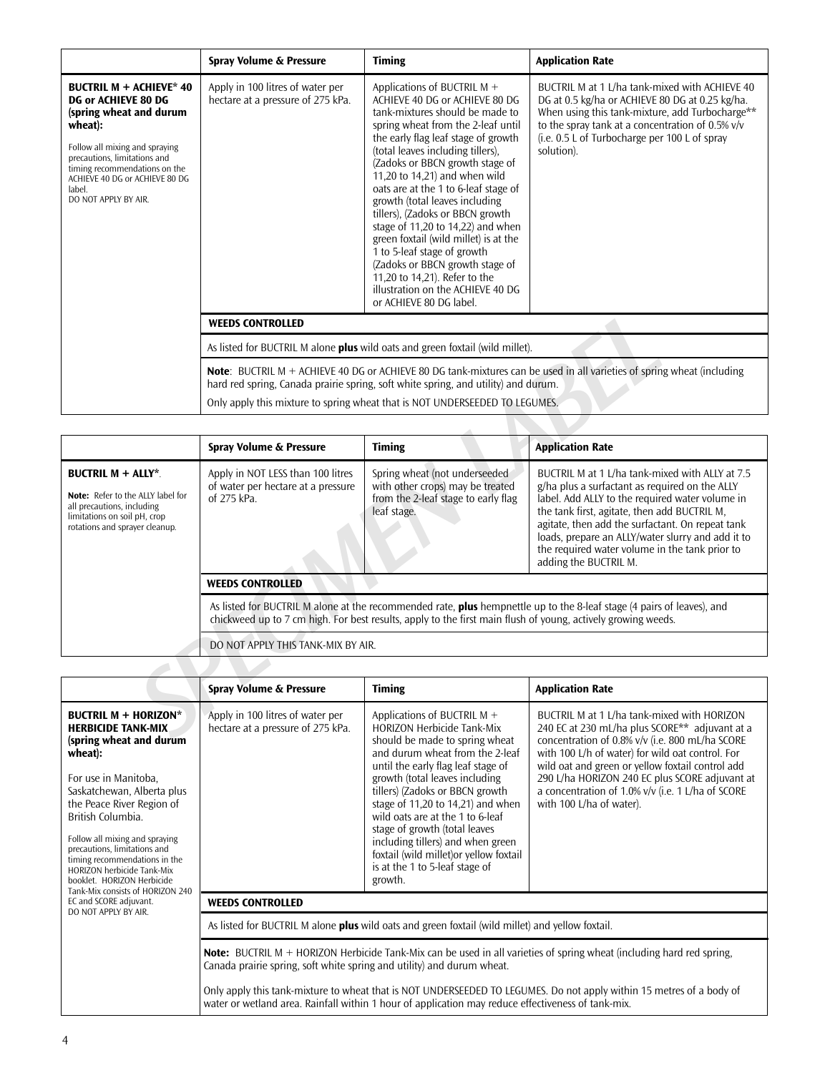|                                                                                                                                                                                                                                                                    | Spray Volume & Pressure                                                                                                                                                                                                                                                                       | <b>Timing</b>                                                                                                                                                                                                                                                                                                                                                                                                                                                                                                                                                                                                                                           | <b>Application Rate</b>                                                                                                                                                                                                                                                 |  |  |
|--------------------------------------------------------------------------------------------------------------------------------------------------------------------------------------------------------------------------------------------------------------------|-----------------------------------------------------------------------------------------------------------------------------------------------------------------------------------------------------------------------------------------------------------------------------------------------|---------------------------------------------------------------------------------------------------------------------------------------------------------------------------------------------------------------------------------------------------------------------------------------------------------------------------------------------------------------------------------------------------------------------------------------------------------------------------------------------------------------------------------------------------------------------------------------------------------------------------------------------------------|-------------------------------------------------------------------------------------------------------------------------------------------------------------------------------------------------------------------------------------------------------------------------|--|--|
| <b>BUCTRIL M + ACHIEVE* 40</b><br>DG or ACHIEVE 80 DG<br>(spring wheat and durum<br>wheat):<br>Follow all mixing and spraying<br>precautions, limitations and<br>timing recommendations on the<br>ACHIEVE 40 DG or ACHIEVE 80 DG<br>label.<br>DO NOT APPLY BY AIR. | Apply in 100 litres of water per<br>hectare at a pressure of 275 kPa.                                                                                                                                                                                                                         | Applications of BUCTRIL M $+$<br>ACHIEVE 40 DG or ACHIEVE 80 DG<br>tank-mixtures should be made to<br>spring wheat from the 2-leaf until<br>the early flag leaf stage of growth<br>(total leaves including tillers),<br>(Zadoks or BBCN growth stage of<br>11,20 to 14,21) and when wild<br>oats are at the 1 to 6-leaf stage of<br>growth (total leaves including<br>tillers), (Zadoks or BBCN growth<br>stage of 11,20 to 14,22) and when<br>green foxtail (wild millet) is at the<br>1 to 5-leaf stage of growth<br>(Zadoks or BBCN growth stage of<br>11,20 to 14,21). Refer to the<br>illustration on the ACHIEVE 40 DG<br>or ACHIEVE 80 DG label. | BUCTRIL M at 1 L/ha tank-mixed with ACHIEVE 40<br>DG at 0.5 kg/ha or ACHIEVE 80 DG at 0.25 kg/ha.<br>When using this tank-mixture, add Turbocharge**<br>to the spray tank at a concentration of 0.5% v/v<br>(i.e. 0.5 L of Turbocharge per 100 L of spray<br>solution). |  |  |
|                                                                                                                                                                                                                                                                    | <b>WEEDS CONTROLLED</b>                                                                                                                                                                                                                                                                       |                                                                                                                                                                                                                                                                                                                                                                                                                                                                                                                                                                                                                                                         |                                                                                                                                                                                                                                                                         |  |  |
|                                                                                                                                                                                                                                                                    | As listed for BUCTRIL M alone plus wild oats and green foxtail (wild millet).                                                                                                                                                                                                                 |                                                                                                                                                                                                                                                                                                                                                                                                                                                                                                                                                                                                                                                         |                                                                                                                                                                                                                                                                         |  |  |
|                                                                                                                                                                                                                                                                    | Note: BUCTRIL M $+$ ACHIEVE 40 DG or ACHIEVE 80 DG tank-mixtures can be used in all varieties of spring wheat (including<br>hard red spring, Canada prairie spring, soft white spring, and utility) and durum.<br>Only apply this mixture to spring wheat that is NOT UNDERSEEDED TO LEGUMES. |                                                                                                                                                                                                                                                                                                                                                                                                                                                                                                                                                                                                                                                         |                                                                                                                                                                                                                                                                         |  |  |

|                                                                                                                                                                | <b>WEEDS CONTROLLED</b>                                                                                                                                                                                                                                                                            |                                                                                                                         |                                                                                                                                                                                                                                                                                                                                                                                          |  |  |  |  |
|----------------------------------------------------------------------------------------------------------------------------------------------------------------|----------------------------------------------------------------------------------------------------------------------------------------------------------------------------------------------------------------------------------------------------------------------------------------------------|-------------------------------------------------------------------------------------------------------------------------|------------------------------------------------------------------------------------------------------------------------------------------------------------------------------------------------------------------------------------------------------------------------------------------------------------------------------------------------------------------------------------------|--|--|--|--|
|                                                                                                                                                                |                                                                                                                                                                                                                                                                                                    | As listed for BUCTRIL M alone <b>plus</b> wild oats and green foxtail (wild millet).                                    |                                                                                                                                                                                                                                                                                                                                                                                          |  |  |  |  |
|                                                                                                                                                                | <b>Note:</b> BUCTRIL M + ACHIEVE 40 DG or ACHIEVE 80 DG tank-mixtures can be used in all varieties of spring wheat (including<br>hard red spring, Canada prairie spring, soft white spring, and utility) and durum.<br>Only apply this mixture to spring wheat that is NOT UNDERSEEDED TO LEGUMES. |                                                                                                                         |                                                                                                                                                                                                                                                                                                                                                                                          |  |  |  |  |
|                                                                                                                                                                |                                                                                                                                                                                                                                                                                                    |                                                                                                                         |                                                                                                                                                                                                                                                                                                                                                                                          |  |  |  |  |
|                                                                                                                                                                | Spray Volume & Pressure                                                                                                                                                                                                                                                                            | <b>Timing</b>                                                                                                           | <b>Application Rate</b>                                                                                                                                                                                                                                                                                                                                                                  |  |  |  |  |
| <b>BUCTRIL M + ALLY*.</b><br>Note: Refer to the ALLY label for<br>all precautions, including<br>limitations on soil pH, crop<br>rotations and sprayer cleanup. | Apply in NOT LESS than 100 litres<br>of water per hectare at a pressure<br>of 275 kPa.                                                                                                                                                                                                             | Spring wheat (not underseeded<br>with other crops) may be treated<br>from the 2-leaf stage to early flag<br>leaf stage. | BUCTRIL M at 1 L/ha tank-mixed with ALLY at 7.5<br>g/ha plus a surfactant as required on the ALLY<br>label. Add ALLY to the required water volume in<br>the tank first, agitate, then add BUCTRIL M,<br>agitate, then add the surfactant. On repeat tank<br>loads, prepare an ALLY/water slurry and add it to<br>the required water volume in the tank prior to<br>adding the BUCTRIL M. |  |  |  |  |
|                                                                                                                                                                | <b>WEEDS CONTROLLED</b>                                                                                                                                                                                                                                                                            |                                                                                                                         |                                                                                                                                                                                                                                                                                                                                                                                          |  |  |  |  |
|                                                                                                                                                                | As listed for BUCTRIL M alone at the recommended rate, plus hempnettle up to the 8-leaf stage (4 pairs of leaves), and<br>chickweed up to 7 cm high. For best results, apply to the first main flush of young, actively growing weeds.                                                             |                                                                                                                         |                                                                                                                                                                                                                                                                                                                                                                                          |  |  |  |  |
|                                                                                                                                                                | DO NOT APPLY THIS TANK-MIX BY AIR.                                                                                                                                                                                                                                                                 |                                                                                                                         |                                                                                                                                                                                                                                                                                                                                                                                          |  |  |  |  |
|                                                                                                                                                                |                                                                                                                                                                                                                                                                                                    |                                                                                                                         |                                                                                                                                                                                                                                                                                                                                                                                          |  |  |  |  |
|                                                                                                                                                                | Spray Volume & Pressure                                                                                                                                                                                                                                                                            | <b>Timing</b>                                                                                                           | <b>Application Rate</b>                                                                                                                                                                                                                                                                                                                                                                  |  |  |  |  |
| <b>BUCTRIL M + HORIZON*</b><br><b>HERBICIDE TANK-MIX</b><br>cnring wheat and durum                                                                             | Apply in 100 litres of water per<br>hectare at a pressure of 275 kPa.                                                                                                                                                                                                                              | Applications of BUCTRIL M +<br><b>HORIZON Herbicide Tank-Mix</b><br>should be made to spring wheat                      | BUCTRIL M at 1 L/ha tank-mixed with HORIZON<br>240 EC at 230 mL/ha plus SCORE** adjuvant at a<br>concentration of 0.8% v/v/i e. 800 mL/ha SCORE                                                                                                                                                                                                                                          |  |  |  |  |

|                                                                                                                                                                                                                                                                                                                                                                              | Spray Volume & Pressure                                                                                                                                                                                                                                                                                                                                                                                                              | <b>Timing</b>                                                                                                                                                                                                                                                                                                                                                                                                                                                                                  | <b>Application Rate</b>                                                                                                                                                                                                                                                                                                                                                                                 |  |  |  |
|------------------------------------------------------------------------------------------------------------------------------------------------------------------------------------------------------------------------------------------------------------------------------------------------------------------------------------------------------------------------------|--------------------------------------------------------------------------------------------------------------------------------------------------------------------------------------------------------------------------------------------------------------------------------------------------------------------------------------------------------------------------------------------------------------------------------------|------------------------------------------------------------------------------------------------------------------------------------------------------------------------------------------------------------------------------------------------------------------------------------------------------------------------------------------------------------------------------------------------------------------------------------------------------------------------------------------------|---------------------------------------------------------------------------------------------------------------------------------------------------------------------------------------------------------------------------------------------------------------------------------------------------------------------------------------------------------------------------------------------------------|--|--|--|
| <b>BUCTRIL M + HORIZON*</b><br><b>HERBICIDE TANK-MIX</b><br>(spring wheat and durum<br>wheat):<br>For use in Manitoba,<br>Saskatchewan, Alberta plus<br>the Peace River Region of<br>British Columbia.<br>Follow all mixing and spraying<br>precautions, limitations and<br>timing recommendations in the<br><b>HORIZON herbicide Tank-Mix</b><br>booklet. HORIZON Herbicide | Apply in 100 litres of water per<br>hectare at a pressure of 275 kPa.                                                                                                                                                                                                                                                                                                                                                                | Applications of BUCTRIL $M +$<br><b>HORIZON Herbicide Tank-Mix</b><br>should be made to spring wheat<br>and durum wheat from the 2-leaf<br>until the early flag leaf stage of<br>growth (total leaves including<br>tillers) (Zadoks or BBCN growth<br>stage of $11,20$ to $14,21$ ) and when<br>wild oats are at the 1 to 6-leaf<br>stage of growth (total leaves<br>including tillers) and when green<br>foxtail (wild millet) or yellow foxtail<br>is at the 1 to 5-leaf stage of<br>growth. | BUCTRIL M at 1 L/ha tank-mixed with HORIZON<br>240 EC at 230 mL/ha plus SCORE <sup>**</sup> adjuvant at a<br>concentration of 0.8% v/v (i.e. 800 mL/ha SCORE<br>with 100 L/h of water) for wild oat control. For<br>wild oat and green or yellow foxtail control add<br>290 L/ha HORIZON 240 EC plus SCORE adjuvant at<br>a concentration of 1.0% v/v (i.e. 1 L/ha of SCORE<br>with 100 L/ha of water). |  |  |  |
| Tank-Mix consists of HORIZON 240<br>EC and SCORE adjuvant.<br>DO NOT APPLY BY AIR.                                                                                                                                                                                                                                                                                           | <b>WEEDS CONTROLLED</b>                                                                                                                                                                                                                                                                                                                                                                                                              |                                                                                                                                                                                                                                                                                                                                                                                                                                                                                                |                                                                                                                                                                                                                                                                                                                                                                                                         |  |  |  |
|                                                                                                                                                                                                                                                                                                                                                                              | As listed for BUCTRIL M alone <b>plus</b> wild oats and green foxtail (wild millet) and yellow foxtail.                                                                                                                                                                                                                                                                                                                              |                                                                                                                                                                                                                                                                                                                                                                                                                                                                                                |                                                                                                                                                                                                                                                                                                                                                                                                         |  |  |  |
|                                                                                                                                                                                                                                                                                                                                                                              | <b>Note:</b> BUCTRIL M + HORIZON Herbicide Tank-Mix can be used in all varieties of spring wheat (including hard red spring,<br>Canada prairie spring, soft white spring and utility) and durum wheat.<br>Only apply this tank-mixture to wheat that is NOT UNDERSEEDED TO LEGUMES. Do not apply within 15 metres of a body of<br>water or wetland area. Rainfall within 1 hour of application may reduce effectiveness of tank-mix. |                                                                                                                                                                                                                                                                                                                                                                                                                                                                                                |                                                                                                                                                                                                                                                                                                                                                                                                         |  |  |  |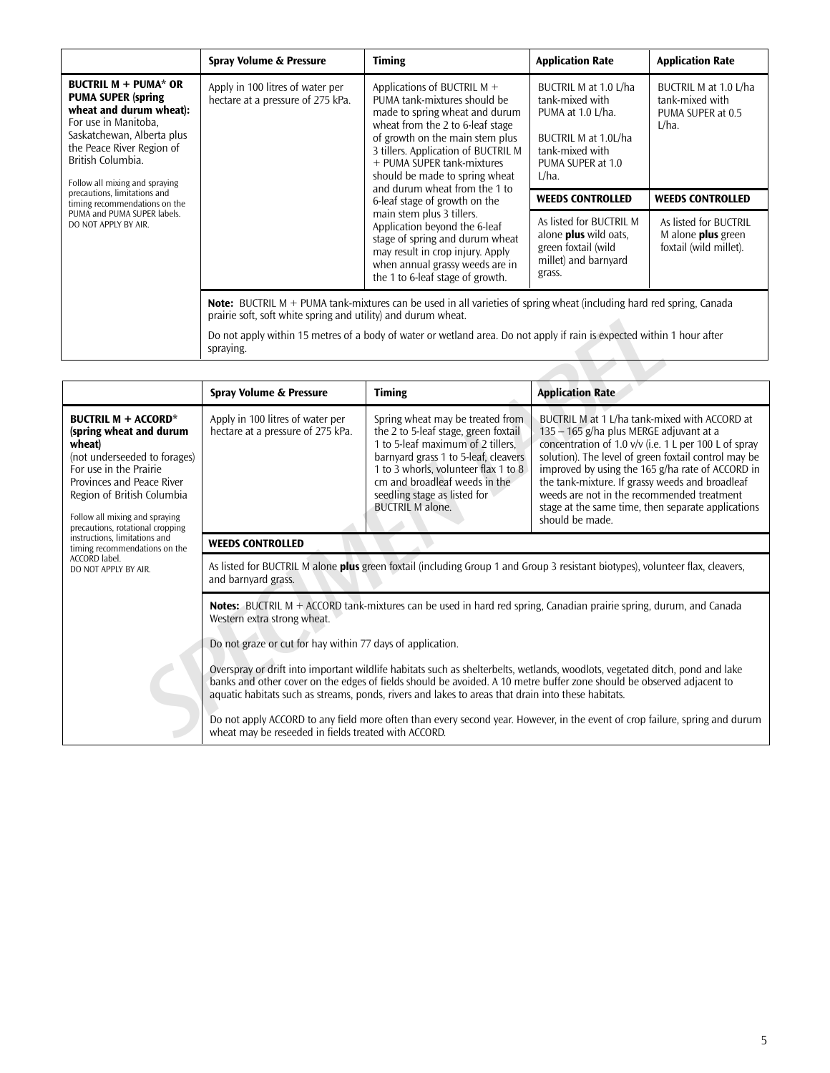|                                                                                                                                                                                                                                | Spray Volume & Pressure                                                                                                                                                                      | <b>Timing</b>                                                                                                                                                                                                                                                                                                                                                                                                                                                                                                                                               | <b>Application Rate</b>                                                                                                                   | <b>Application Rate</b>                                                      |  |  |
|--------------------------------------------------------------------------------------------------------------------------------------------------------------------------------------------------------------------------------|----------------------------------------------------------------------------------------------------------------------------------------------------------------------------------------------|-------------------------------------------------------------------------------------------------------------------------------------------------------------------------------------------------------------------------------------------------------------------------------------------------------------------------------------------------------------------------------------------------------------------------------------------------------------------------------------------------------------------------------------------------------------|-------------------------------------------------------------------------------------------------------------------------------------------|------------------------------------------------------------------------------|--|--|
| <b>BUCTRIL M + PUMA* OR</b><br><b>PUMA SUPER (spring)</b><br>wheat and durum wheat):<br>For use in Manitoba,<br>Saskatchewan, Alberta plus<br>the Peace River Region of<br>British Columbia.<br>Follow all mixing and spraying | Apply in 100 litres of water per<br>hectare at a pressure of 275 kPa.                                                                                                                        | Applications of BUCTRIL M $+$<br>PUMA tank-mixtures should be<br>made to spring wheat and durum<br>wheat from the 2 to 6-leaf stage<br>of growth on the main stem plus<br>3 tillers. Application of BUCTRIL M<br>+ PUMA SUPER tank-mixtures<br>should be made to spring wheat<br>and durum wheat from the 1 to<br>6-leaf stage of growth on the<br>main stem plus 3 tillers.<br>Application beyond the 6-leaf<br>stage of spring and durum wheat<br>may result in crop injury. Apply<br>when annual grassy weeds are in<br>the 1 to 6-leaf stage of growth. | BUCTRIL M at 1.0 L/ha<br>tank-mixed with<br>PUMA at 1.0 L/ha.<br>BUCTRIL M at 1.0L/ha<br>tank-mixed with<br>PUMA SUPER at 1.0<br>$L/ha$ . | BUCTRIL M at 1.0 L/ha<br>tank-mixed with<br>PUMA SUPER at 0.5<br>$L/ha$ .    |  |  |
| precautions, limitations and<br>timing recommendations on the                                                                                                                                                                  |                                                                                                                                                                                              |                                                                                                                                                                                                                                                                                                                                                                                                                                                                                                                                                             | <b>WEEDS CONTROLLED</b>                                                                                                                   | <b>WEEDS CONTROLLED</b>                                                      |  |  |
| PUMA and PUMA SUPER labels.<br>DO NOT APPLY BY AIR.                                                                                                                                                                            |                                                                                                                                                                                              |                                                                                                                                                                                                                                                                                                                                                                                                                                                                                                                                                             | As listed for BUCTRIL M<br>alone <b>plus</b> wild oats,<br>green foxtail (wild<br>millet) and barnyard<br>grass.                          | As listed for BUCTRIL<br>M alone <b>plus</b> green<br>foxtail (wild millet). |  |  |
|                                                                                                                                                                                                                                | <b>Note:</b> BUCTRIL M + PUMA tank-mixtures can be used in all varieties of spring wheat (including hard red spring, Canada<br>prairie soft, soft white spring and utility) and durum wheat. |                                                                                                                                                                                                                                                                                                                                                                                                                                                                                                                                                             |                                                                                                                                           |                                                                              |  |  |
|                                                                                                                                                                                                                                | Do not apply within 15 metres of a body of water or wetland area. Do not apply if rain is expected within 1 hour after<br>spraying.                                                          |                                                                                                                                                                                                                                                                                                                                                                                                                                                                                                                                                             |                                                                                                                                           |                                                                              |  |  |

| prairie soft, soft white spring and utility) and durum wheat.                                                                                                                                                                                                                                                                                                                                                                                                                                                                                                                                                                                                                                                                                                                  |                                                                                                                                                                                                                                                                                           |                                                                                                                                                                                                                                                                                                                                                                                                                                           |  |  |  |  |  |
|--------------------------------------------------------------------------------------------------------------------------------------------------------------------------------------------------------------------------------------------------------------------------------------------------------------------------------------------------------------------------------------------------------------------------------------------------------------------------------------------------------------------------------------------------------------------------------------------------------------------------------------------------------------------------------------------------------------------------------------------------------------------------------|-------------------------------------------------------------------------------------------------------------------------------------------------------------------------------------------------------------------------------------------------------------------------------------------|-------------------------------------------------------------------------------------------------------------------------------------------------------------------------------------------------------------------------------------------------------------------------------------------------------------------------------------------------------------------------------------------------------------------------------------------|--|--|--|--|--|
| Do not apply within 15 metres of a body of water or wetland area. Do not apply if rain is expected within 1 hour after<br>spraying.                                                                                                                                                                                                                                                                                                                                                                                                                                                                                                                                                                                                                                            |                                                                                                                                                                                                                                                                                           |                                                                                                                                                                                                                                                                                                                                                                                                                                           |  |  |  |  |  |
|                                                                                                                                                                                                                                                                                                                                                                                                                                                                                                                                                                                                                                                                                                                                                                                |                                                                                                                                                                                                                                                                                           |                                                                                                                                                                                                                                                                                                                                                                                                                                           |  |  |  |  |  |
| Spray Volume & Pressure                                                                                                                                                                                                                                                                                                                                                                                                                                                                                                                                                                                                                                                                                                                                                        | <b>Timing</b>                                                                                                                                                                                                                                                                             | <b>Application Rate</b>                                                                                                                                                                                                                                                                                                                                                                                                                   |  |  |  |  |  |
| Apply in 100 litres of water per<br>hectare at a pressure of 275 kPa.                                                                                                                                                                                                                                                                                                                                                                                                                                                                                                                                                                                                                                                                                                          | Spring wheat may be treated from<br>the 2 to 5-leaf stage, green foxtail<br>1 to 5-leaf maximum of 2 tillers,<br>barnyard grass 1 to 5-leaf, cleavers<br>1 to 3 whorls, volunteer flax 1 to 8<br>cm and broadleaf weeds in the<br>seedling stage as listed for<br><b>BUCTRIL M alone.</b> | BUCTRIL M at 1 L/ha tank-mixed with ACCORD at<br>$135 - 165$ g/ha plus MERGE adjuvant at a<br>concentration of 1.0 v/v (i.e. 1 L per 100 L of spray<br>solution). The level of green foxtail control may be<br>improved by using the 165 g/ha rate of ACCORD in<br>the tank-mixture. If grassy weeds and broadleaf<br>weeds are not in the recommended treatment<br>stage at the same time, then separate applications<br>should be made. |  |  |  |  |  |
| <b>WEEDS CONTROLLED</b>                                                                                                                                                                                                                                                                                                                                                                                                                                                                                                                                                                                                                                                                                                                                                        |                                                                                                                                                                                                                                                                                           |                                                                                                                                                                                                                                                                                                                                                                                                                                           |  |  |  |  |  |
| As listed for BUCTRIL M alone plus green foxtail (including Group 1 and Group 3 resistant biotypes), volunteer flax, cleavers,<br>and barnyard grass.                                                                                                                                                                                                                                                                                                                                                                                                                                                                                                                                                                                                                          |                                                                                                                                                                                                                                                                                           |                                                                                                                                                                                                                                                                                                                                                                                                                                           |  |  |  |  |  |
| <b>Notes:</b> BUCTRIL M $+$ ACCORD tank-mixtures can be used in hard red spring, Canadian prairie spring, durum, and Canada<br>Western extra strong wheat.<br>Do not graze or cut for hay within 77 days of application.<br>Overspray or drift into important wildlife habitats such as shelterbelts, wetlands, woodlots, vegetated ditch, pond and lake<br>banks and other cover on the edges of fields should be avoided. A 10 metre buffer zone should be observed adjacent to<br>aquatic habitats such as streams, ponds, rivers and lakes to areas that drain into these habitats.<br>Do not apply ACCORD to any field more often than every second year. However, in the event of crop failure, spring and durum<br>wheat may be reseeded in fields treated with ACCORD. |                                                                                                                                                                                                                                                                                           |                                                                                                                                                                                                                                                                                                                                                                                                                                           |  |  |  |  |  |
|                                                                                                                                                                                                                                                                                                                                                                                                                                                                                                                                                                                                                                                                                                                                                                                |                                                                                                                                                                                                                                                                                           |                                                                                                                                                                                                                                                                                                                                                                                                                                           |  |  |  |  |  |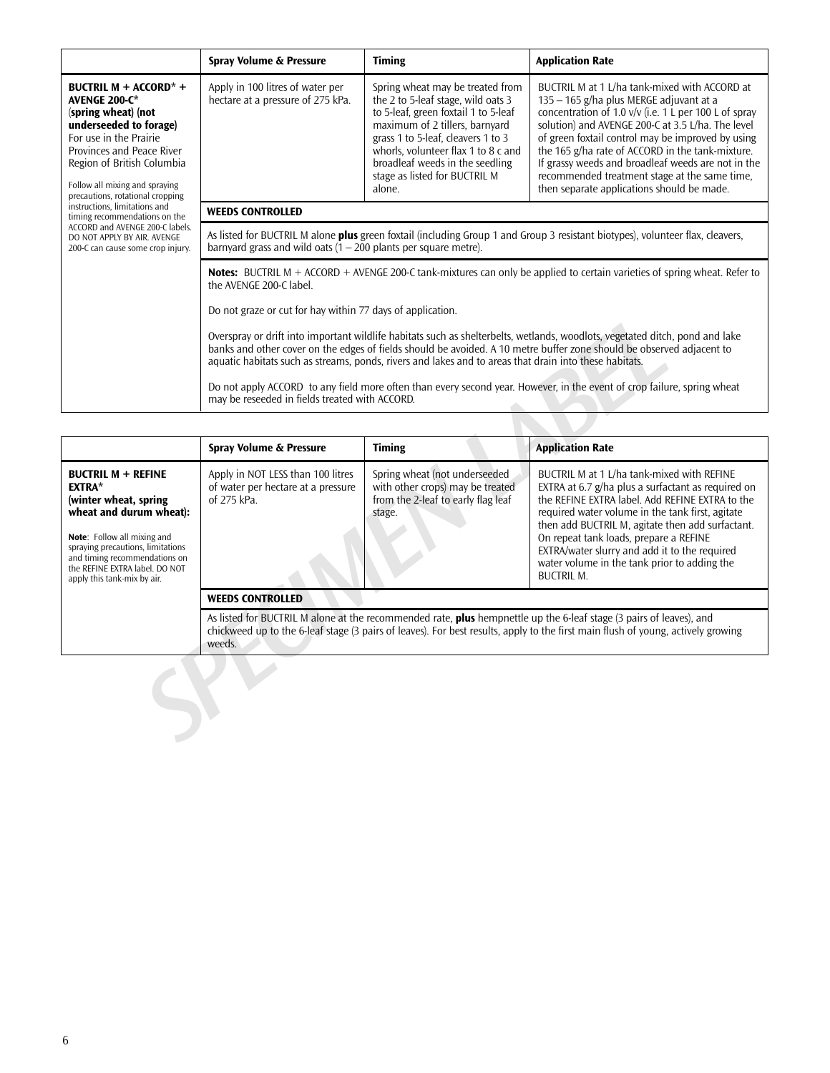|                                                                                                                                                                                                                                                                  | Spray Volume & Pressure                                                                                                                                                                                                                                                                                                                                                                                                                                                                                                                                                                                                                                                                                                                                                   | <b>Timing</b>                                                                                                                                                                                                                                                                                               | <b>Application Rate</b>                                                                                                                                                                                                                                                                                                                                                                                                                                                  |  |  |
|------------------------------------------------------------------------------------------------------------------------------------------------------------------------------------------------------------------------------------------------------------------|---------------------------------------------------------------------------------------------------------------------------------------------------------------------------------------------------------------------------------------------------------------------------------------------------------------------------------------------------------------------------------------------------------------------------------------------------------------------------------------------------------------------------------------------------------------------------------------------------------------------------------------------------------------------------------------------------------------------------------------------------------------------------|-------------------------------------------------------------------------------------------------------------------------------------------------------------------------------------------------------------------------------------------------------------------------------------------------------------|--------------------------------------------------------------------------------------------------------------------------------------------------------------------------------------------------------------------------------------------------------------------------------------------------------------------------------------------------------------------------------------------------------------------------------------------------------------------------|--|--|
| <b>BUCTRIL M + ACCORD* +</b><br><b>AVENGE 200-C*</b><br>(spring wheat) (not<br>underseeded to forage)<br>For use in the Prairie<br>Provinces and Peace River<br>Region of British Columbia<br>Follow all mixing and spraying<br>precautions, rotational cropping | Apply in 100 litres of water per<br>hectare at a pressure of 275 kPa.                                                                                                                                                                                                                                                                                                                                                                                                                                                                                                                                                                                                                                                                                                     | Spring wheat may be treated from<br>the 2 to 5-leaf stage, wild oats 3<br>to 5-leaf, green foxtail 1 to 5-leaf<br>maximum of 2 tillers, barnyard<br>grass 1 to 5-leaf, cleavers 1 to 3<br>whorls, volunteer flax 1 to 8 c and<br>broadleaf weeds in the seedling<br>stage as listed for BUCTRIL M<br>alone. | BUCTRIL M at 1 L/ha tank-mixed with ACCORD at<br>$135 - 165$ g/ha plus MERGE adjuvant at a<br>concentration of 1.0 $v/v$ (i.e. 1 L per 100 L of spray<br>solution) and AVENGE 200-C at 3.5 L/ha. The level<br>of green foxtail control may be improved by using<br>the 165 g/ha rate of ACCORD in the tank-mixture.<br>If grassy weeds and broadleaf weeds are not in the<br>recommended treatment stage at the same time,<br>then separate applications should be made. |  |  |
| instructions, limitations and<br>timing recommendations on the                                                                                                                                                                                                   | <b>WEEDS CONTROLLED</b>                                                                                                                                                                                                                                                                                                                                                                                                                                                                                                                                                                                                                                                                                                                                                   |                                                                                                                                                                                                                                                                                                             |                                                                                                                                                                                                                                                                                                                                                                                                                                                                          |  |  |
| ACCORD and AVENGE 200-C labels.<br>DO NOT APPLY BY AIR. AVENGE<br>200-C can cause some crop injury.                                                                                                                                                              | As listed for BUCTRIL M alone <b>plus</b> green foxtail (including Group 1 and Group 3 resistant biotypes), volunteer flax, cleavers,<br>barnyard grass and wild oats $(1 – 200$ plants per square metre).                                                                                                                                                                                                                                                                                                                                                                                                                                                                                                                                                                |                                                                                                                                                                                                                                                                                                             |                                                                                                                                                                                                                                                                                                                                                                                                                                                                          |  |  |
|                                                                                                                                                                                                                                                                  | <b>Notes:</b> BUCTRIL M + ACCORD + AVENGE 200-C tank-mixtures can only be applied to certain varieties of spring wheat. Refer to<br>the AVENGE 200-C label.<br>Do not graze or cut for hay within 77 days of application.<br>Overspray or drift into important wildlife habitats such as shelterbelts, wetlands, woodlots, vegetated ditch, pond and lake<br>banks and other cover on the edges of fields should be avoided. A 10 metre buffer zone should be observed adjacent to<br>aquatic habitats such as streams, ponds, rivers and lakes and to areas that drain into these habitats.<br>Do not apply ACCORD to any field more often than every second year. However, in the event of crop failure, spring wheat<br>may be reseeded in fields treated with ACCORD. |                                                                                                                                                                                                                                                                                                             |                                                                                                                                                                                                                                                                                                                                                                                                                                                                          |  |  |

|                                                                                                                                                                                                                                                                      | Overspray or drift into important wildlife habitats such as shelterbelts, wetlands, woodlots, vegetated ditch, pond and lake<br>banks and other cover on the edges of fields should be avoided. A 10 metre buffer zone should be observed adjacent to<br>aquatic habitats such as streams, ponds, rivers and lakes and to areas that drain into these habitats.<br>Do not apply ACCORD to any field more often than every second year. However, in the event of crop failure, spring wheat<br>may be reseeded in fields treated with ACCORD. |                                                                                                                   |                                                                                                                                                                                                                                                                                                                                                                                                                             |  |  |  |  |
|----------------------------------------------------------------------------------------------------------------------------------------------------------------------------------------------------------------------------------------------------------------------|----------------------------------------------------------------------------------------------------------------------------------------------------------------------------------------------------------------------------------------------------------------------------------------------------------------------------------------------------------------------------------------------------------------------------------------------------------------------------------------------------------------------------------------------|-------------------------------------------------------------------------------------------------------------------|-----------------------------------------------------------------------------------------------------------------------------------------------------------------------------------------------------------------------------------------------------------------------------------------------------------------------------------------------------------------------------------------------------------------------------|--|--|--|--|
|                                                                                                                                                                                                                                                                      | Spray Volume & Pressure                                                                                                                                                                                                                                                                                                                                                                                                                                                                                                                      | <b>Timing</b>                                                                                                     | <b>Application Rate</b>                                                                                                                                                                                                                                                                                                                                                                                                     |  |  |  |  |
| <b>BUCTRIL M + REFINE</b><br><b>EXTRA*</b><br>(winter wheat, spring<br>wheat and durum wheat):<br>Note: Follow all mixing and<br>spraying precautions, limitations<br>and timing recommendations on<br>the REFINE EXTRA label. DO NOT<br>apply this tank-mix by air. | Apply in NOT LESS than 100 litres<br>of water per hectare at a pressure<br>of 275 kPa.                                                                                                                                                                                                                                                                                                                                                                                                                                                       | Spring wheat (not underseeded<br>with other crops) may be treated<br>from the 2-leaf to early flag leaf<br>stage. | BUCTRIL M at 1 L/ha tank-mixed with REFINE<br>EXTRA at 6.7 g/ha plus a surfactant as required on<br>the REFINE EXTRA label. Add REFINE EXTRA to the<br>required water volume in the tank first, agitate<br>then add BUCTRIL M, agitate then add surfactant.<br>On repeat tank loads, prepare a REFINE<br>EXTRA/water slurry and add it to the required<br>water volume in the tank prior to adding the<br><b>BUCTRIL M.</b> |  |  |  |  |
|                                                                                                                                                                                                                                                                      | <b>WEEDS CONTROLLED</b>                                                                                                                                                                                                                                                                                                                                                                                                                                                                                                                      |                                                                                                                   |                                                                                                                                                                                                                                                                                                                                                                                                                             |  |  |  |  |
|                                                                                                                                                                                                                                                                      | As listed for BUCTRIL M alone at the recommended rate, plus hempnettle up the 6-leaf stage (3 pairs of leaves), and<br>chickweed up to the 6-leaf stage (3 pairs of leaves). For best results, apply to the first main flush of young, actively growing<br>weeds.                                                                                                                                                                                                                                                                            |                                                                                                                   |                                                                                                                                                                                                                                                                                                                                                                                                                             |  |  |  |  |
|                                                                                                                                                                                                                                                                      |                                                                                                                                                                                                                                                                                                                                                                                                                                                                                                                                              |                                                                                                                   |                                                                                                                                                                                                                                                                                                                                                                                                                             |  |  |  |  |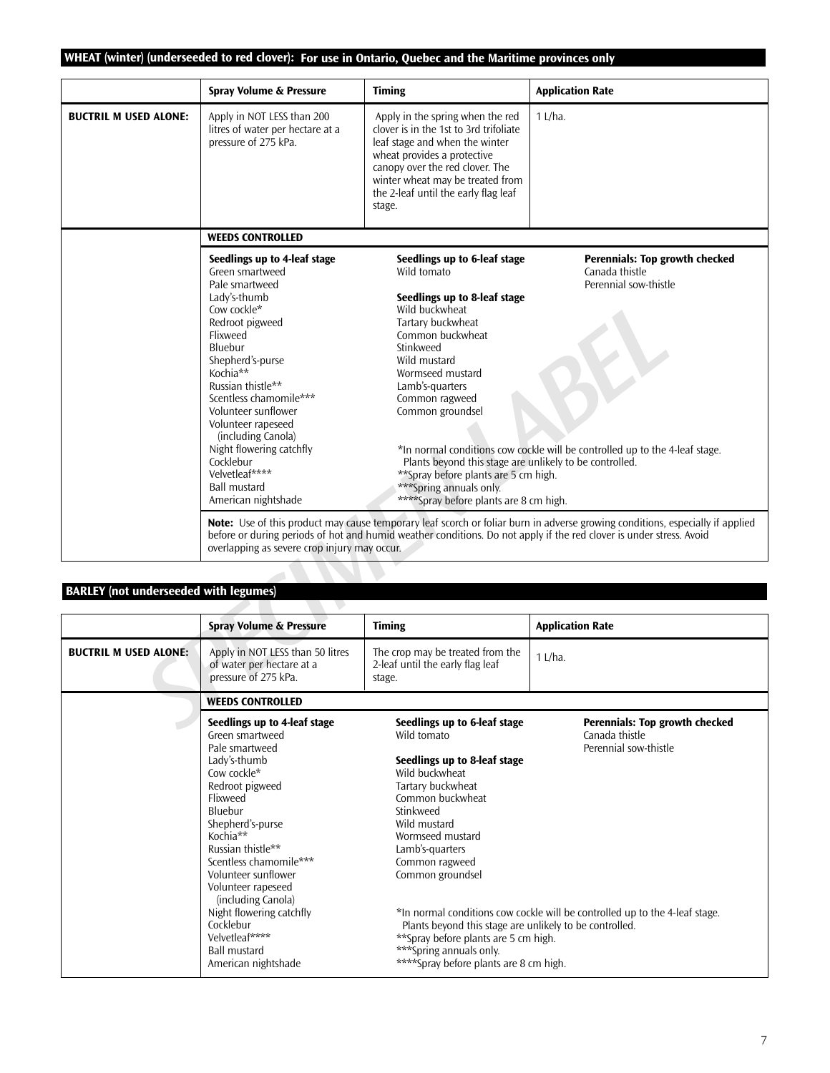# **WHEAT (winter) (underseeded to red clover): For use in Ontario, Quebec and the Maritime provinces only**

|                                              | Spray Volume & Pressure                                                                                                                                                                                                                                                                                                                                                                               | <b>Timing</b>                                                                                                                                                                                                                                                                                                                                                                                                             | <b>Application Rate</b>                                                                                                                                         |
|----------------------------------------------|-------------------------------------------------------------------------------------------------------------------------------------------------------------------------------------------------------------------------------------------------------------------------------------------------------------------------------------------------------------------------------------------------------|---------------------------------------------------------------------------------------------------------------------------------------------------------------------------------------------------------------------------------------------------------------------------------------------------------------------------------------------------------------------------------------------------------------------------|-----------------------------------------------------------------------------------------------------------------------------------------------------------------|
| <b>BUCTRIL M USED ALONE:</b>                 | Apply in NOT LESS than 200<br>litres of water per hectare at a<br>pressure of 275 kPa.                                                                                                                                                                                                                                                                                                                | Apply in the spring when the red<br>clover is in the 1st to 3rd trifoliate<br>leaf stage and when the winter<br>wheat provides a protective<br>canopy over the red clover. The<br>winter wheat may be treated from<br>the 2-leaf until the early flag leaf<br>stage.                                                                                                                                                      | $1$ L/ha.                                                                                                                                                       |
|                                              | <b>WEEDS CONTROLLED</b>                                                                                                                                                                                                                                                                                                                                                                               |                                                                                                                                                                                                                                                                                                                                                                                                                           |                                                                                                                                                                 |
|                                              | Seedlings up to 4-leaf stage<br>Green smartweed<br>Pale smartweed<br>Lady's-thumb<br>Cow cockle*<br>Redroot pigweed<br>Flixweed<br>Bluebur<br>Shepherd's-purse<br>Kochia**<br>Russian thistle**<br>Scentless chamomile***<br>Volunteer sunflower<br>Volunteer rapeseed<br>(including Canola)<br>Night flowering catchfly<br>Cocklebur<br>Velvetleaf****<br><b>Ball mustard</b><br>American nightshade | Seedlings up to 6-leaf stage<br>Wild tomato<br>Seedlings up to 8-leaf stage<br>Wild buckwheat<br>Tartary buckwheat<br>Common buckwheat<br>Stinkweed<br>Wild mustard<br>Wormseed mustard<br>Lamb's-quarters<br>Common ragweed<br>Common groundsel<br>Plants beyond this stage are unlikely to be controlled.<br>**Spray before plants are 5 cm high.<br>*** Spring annuals only.<br>****Spray before plants are 8 cm high. | <b>Perennials: Top growth checked</b><br>Canada thistle<br>Perennial sow-thistle<br>*In normal conditions cow cockle will be controlled up to the 4-leaf stage. |
|                                              | overlapping as severe crop injury may occur.                                                                                                                                                                                                                                                                                                                                                          | <b>Note:</b> Use of this product may cause temporary leaf scorch or foliar burn in adverse growing conditions, especially if applied<br>before or during periods of hot and humid weather conditions. Do not apply if the red clover is under stress, Avoid                                                                                                                                                               |                                                                                                                                                                 |
|                                              |                                                                                                                                                                                                                                                                                                                                                                                                       |                                                                                                                                                                                                                                                                                                                                                                                                                           |                                                                                                                                                                 |
| <b>BARLEY</b> (not underseeded with legumes) |                                                                                                                                                                                                                                                                                                                                                                                                       |                                                                                                                                                                                                                                                                                                                                                                                                                           |                                                                                                                                                                 |
|                                              | Spray Volume & Pressure                                                                                                                                                                                                                                                                                                                                                                               | <b>Timing</b>                                                                                                                                                                                                                                                                                                                                                                                                             | <b>Application Rate</b>                                                                                                                                         |
| <b>BUCTRIL M USED ALONE:</b>                 | Apply in NOT LESS than 50 litres<br>of water per hectare at a<br>pressure of 275 kPa.                                                                                                                                                                                                                                                                                                                 | The crop may be treated from the<br>2-leaf until the early flag leaf<br>stage.                                                                                                                                                                                                                                                                                                                                            | $1$ L/ha.                                                                                                                                                       |
|                                              | <b>WEEDS CONTROLLED</b>                                                                                                                                                                                                                                                                                                                                                                               |                                                                                                                                                                                                                                                                                                                                                                                                                           |                                                                                                                                                                 |
|                                              | Seedlings up to 4-leaf stage                                                                                                                                                                                                                                                                                                                                                                          | Seedlings up to 6-leaf stage                                                                                                                                                                                                                                                                                                                                                                                              | <b>Perennials: Top growth checked</b>                                                                                                                           |

# **BARLEY (not underseeded with legumes)**

|                              | <b>Spray Volume &amp; Pressure</b>                                                                                                                                                                                                                                                                                                                                                                    | <b>Timing</b>                                                                                                                                                                                                                                                                                                                                                                                                            | <b>Application Rate</b>                                                                                                                                         |
|------------------------------|-------------------------------------------------------------------------------------------------------------------------------------------------------------------------------------------------------------------------------------------------------------------------------------------------------------------------------------------------------------------------------------------------------|--------------------------------------------------------------------------------------------------------------------------------------------------------------------------------------------------------------------------------------------------------------------------------------------------------------------------------------------------------------------------------------------------------------------------|-----------------------------------------------------------------------------------------------------------------------------------------------------------------|
| <b>BUCTRIL M USED ALONE:</b> | Apply in NOT LESS than 50 litres<br>of water per hectare at a<br>pressure of 275 kPa.                                                                                                                                                                                                                                                                                                                 | The crop may be treated from the<br>2-leaf until the early flag leaf<br>stage.                                                                                                                                                                                                                                                                                                                                           | $1$ L/ha.                                                                                                                                                       |
|                              | <b>WEEDS CONTROLLED</b>                                                                                                                                                                                                                                                                                                                                                                               |                                                                                                                                                                                                                                                                                                                                                                                                                          |                                                                                                                                                                 |
|                              | Seedlings up to 4-leaf stage<br>Green smartweed<br>Pale smartweed<br>Lady's-thumb<br>Cow cockle*<br>Redroot pigweed<br>Flixweed<br>Bluebur<br>Shepherd's-purse<br>Kochia**<br>Russian thistle**<br>Scentless chamomile***<br>Volunteer sunflower<br>Volunteer rapeseed<br>(including Canola)<br>Night flowering catchfly<br>Cocklebur<br>Velvetleaf****<br><b>Ball mustard</b><br>American nightshade | Seedlings up to 6-leaf stage<br>Wild tomato<br>Seedlings up to 8-leaf stage<br>Wild buckwheat<br>Tartary buckwheat<br>Common buckwheat<br>Stinkweed<br>Wild mustard<br>Wormseed mustard<br>Lamb's-quarters<br>Common ragweed<br>Common groundsel<br>Plants beyond this stage are unlikely to be controlled.<br>**Spray before plants are 5 cm high.<br>***Spring annuals only.<br>****Spray before plants are 8 cm high. | <b>Perennials: Top growth checked</b><br>Canada thistle<br>Perennial sow-thistle<br>*In normal conditions cow cockle will be controlled up to the 4-leaf stage. |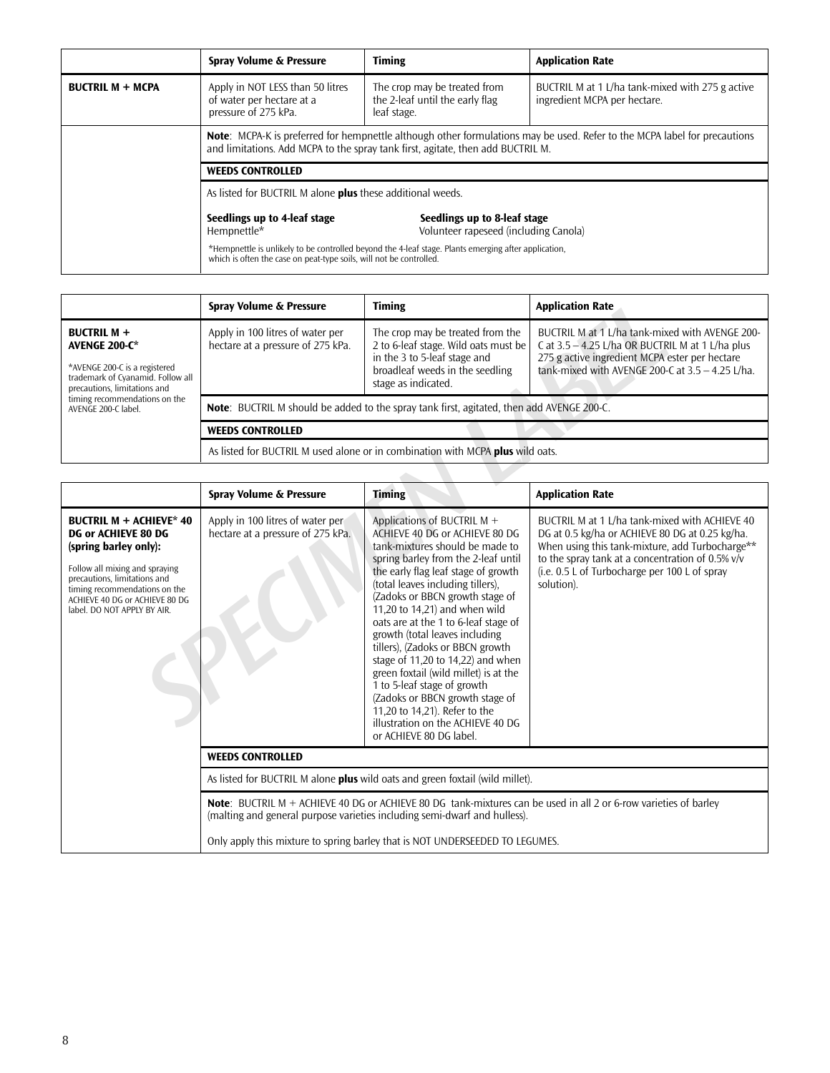|                         | Spray Volume & Pressure                                                                                                                                                                                                                                                                                                                                                  | <b>Timing</b>                                                                  | <b>Application Rate</b>                                                          |  |
|-------------------------|--------------------------------------------------------------------------------------------------------------------------------------------------------------------------------------------------------------------------------------------------------------------------------------------------------------------------------------------------------------------------|--------------------------------------------------------------------------------|----------------------------------------------------------------------------------|--|
| <b>BUCTRIL M + MCPA</b> | Apply in NOT LESS than 50 litres<br>of water per hectare at a<br>pressure of 275 kPa.                                                                                                                                                                                                                                                                                    | The crop may be treated from<br>the 2-leaf until the early flag<br>leaf stage. | BUCTRIL M at 1 L/ha tank-mixed with 275 g active<br>ingredient MCPA per hectare. |  |
|                         | <b>Note:</b> MCPA-K is preferred for hempnettle although other formulations may be used. Refer to the MCPA label for precautions<br>and limitations. Add MCPA to the spray tank first, agitate, then add BUCTRIL M.                                                                                                                                                      |                                                                                |                                                                                  |  |
|                         | <b>WEEDS CONTROLLED</b>                                                                                                                                                                                                                                                                                                                                                  |                                                                                |                                                                                  |  |
|                         | As listed for BUCTRIL M alone <b>plus</b> these additional weeds.<br>Seedlings up to 4-leaf stage<br>Seedlings up to 8-leaf stage<br>Volunteer rapeseed (including Canola)<br>Hempnettle*<br>*Hempnettle is unlikely to be controlled beyond the 4-leaf stage. Plants emerging after application,<br>which is often the case on peat-type soils, will not be controlled. |                                                                                |                                                                                  |  |
|                         |                                                                                                                                                                                                                                                                                                                                                                          |                                                                                |                                                                                  |  |
|                         |                                                                                                                                                                                                                                                                                                                                                                          |                                                                                |                                                                                  |  |

|                                                                                                                                                                                                          | Spray Volume & Pressure                                                                          | <b>Timing</b>                                                                                                                                                      | <b>Application Rate</b>                                                                                                                                                                                     |
|----------------------------------------------------------------------------------------------------------------------------------------------------------------------------------------------------------|--------------------------------------------------------------------------------------------------|--------------------------------------------------------------------------------------------------------------------------------------------------------------------|-------------------------------------------------------------------------------------------------------------------------------------------------------------------------------------------------------------|
| <b>BUCTRIL M +</b><br><b>AVENGE 200-C*</b><br>*AVENGE 200-C is a registered<br>trademark of Cyanamid. Follow all<br>precautions, limitations and<br>timing recommendations on the<br>AVENGE 200-C label. | Apply in 100 litres of water per<br>hectare at a pressure of 275 kPa.                            | The crop may be treated from the<br>2 to 6-leaf stage. Wild oats must be<br>in the 3 to 5-leaf stage and<br>broadleaf weeds in the seedling<br>stage as indicated. | BUCTRIL M at 1 L/ha tank-mixed with AVENGE 200-<br>C at $3.5 - 4.25$ L/ha OR BUCTRIL M at 1 L/ha plus<br>275 g active ingredient MCPA ester per hectare<br>tank-mixed with AVENGE 200-C at 3.5 - 4.25 L/ha. |
|                                                                                                                                                                                                          | <b>Note:</b> BUCTRIL M should be added to the spray tank first, agitated, then add AVENGE 200-C. |                                                                                                                                                                    |                                                                                                                                                                                                             |
|                                                                                                                                                                                                          | <b>WEEDS CONTROLLED</b>                                                                          |                                                                                                                                                                    |                                                                                                                                                                                                             |
|                                                                                                                                                                                                          | As listed for BUCTRIL M used alone or in combination with MCPA plus wild oats.                   |                                                                                                                                                                    |                                                                                                                                                                                                             |

|                                                                                                                                                                                                                                                    | Spray Volume & Pressure                                                                                                                                                                                                                                                       | <b>Timing</b>                                                                                                                                                                                                                                                                                                                                                                                                                                                                                                                                                                                                                                          | <b>Application Rate</b>                                                                                                                                                                                                                                                 |  |
|----------------------------------------------------------------------------------------------------------------------------------------------------------------------------------------------------------------------------------------------------|-------------------------------------------------------------------------------------------------------------------------------------------------------------------------------------------------------------------------------------------------------------------------------|--------------------------------------------------------------------------------------------------------------------------------------------------------------------------------------------------------------------------------------------------------------------------------------------------------------------------------------------------------------------------------------------------------------------------------------------------------------------------------------------------------------------------------------------------------------------------------------------------------------------------------------------------------|-------------------------------------------------------------------------------------------------------------------------------------------------------------------------------------------------------------------------------------------------------------------------|--|
| <b>BUCTRIL M +</b><br>AVENGE 200-C*<br>*AVENGE 200-C is a registered<br>trademark of Cyanamid. Follow all<br>precautions, limitations and                                                                                                          | Apply in 100 litres of water per<br>hectare at a pressure of 275 kPa.                                                                                                                                                                                                         | The crop may be treated from the<br>2 to 6-leaf stage. Wild oats must be<br>in the 3 to 5-leaf stage and<br>broadleaf weeds in the seedling<br>stage as indicated.                                                                                                                                                                                                                                                                                                                                                                                                                                                                                     | BUCTRIL M at 1 L/ha tank-mixed with AVENGE 200-<br>C at $3.5 - 4.25$ L/ha OR BUCTRIL M at 1 L/ha plus<br>275 g active ingredient MCPA ester per hectare<br>tank-mixed with AVENGE 200-C at $3.5 - 4.25$ L/ha.                                                           |  |
| timing recommendations on the<br>AVENGE 200-C label.                                                                                                                                                                                               |                                                                                                                                                                                                                                                                               | <b>Note:</b> BUCTRIL M should be added to the spray tank first, agitated, then add AVENGE 200-C.                                                                                                                                                                                                                                                                                                                                                                                                                                                                                                                                                       |                                                                                                                                                                                                                                                                         |  |
|                                                                                                                                                                                                                                                    | <b>WEEDS CONTROLLED</b>                                                                                                                                                                                                                                                       |                                                                                                                                                                                                                                                                                                                                                                                                                                                                                                                                                                                                                                                        |                                                                                                                                                                                                                                                                         |  |
|                                                                                                                                                                                                                                                    |                                                                                                                                                                                                                                                                               | As listed for BUCTRIL M used alone or in combination with MCPA plus wild oats.                                                                                                                                                                                                                                                                                                                                                                                                                                                                                                                                                                         |                                                                                                                                                                                                                                                                         |  |
|                                                                                                                                                                                                                                                    |                                                                                                                                                                                                                                                                               |                                                                                                                                                                                                                                                                                                                                                                                                                                                                                                                                                                                                                                                        |                                                                                                                                                                                                                                                                         |  |
|                                                                                                                                                                                                                                                    | Spray Volume & Pressure                                                                                                                                                                                                                                                       | <b>Timing</b>                                                                                                                                                                                                                                                                                                                                                                                                                                                                                                                                                                                                                                          | <b>Application Rate</b>                                                                                                                                                                                                                                                 |  |
| <b>BUCTRIL M + ACHIEVE* 40</b><br>DG or ACHIEVE 80 DG<br>(spring barley only):<br>Follow all mixing and spraying<br>precautions, limitations and<br>timing recommendations on the<br>ACHIEVE 40 DG or ACHIEVE 80 DG<br>label. DO NOT APPLY BY AIR. | Apply in 100 litres of water per<br>hectare at a pressure of 275 kPa.                                                                                                                                                                                                         | Applications of BUCTRIL M +<br>ACHIEVE 40 DG or ACHIEVE 80 DG<br>tank-mixtures should be made to<br>spring barley from the 2-leaf until<br>the early flag leaf stage of growth<br>(total leaves including tillers),<br>(Zadoks or BBCN growth stage of<br>11,20 to 14,21) and when wild<br>oats are at the 1 to 6-leaf stage of<br>growth (total leaves including<br>tillers), (Zadoks or BBCN growth<br>stage of 11,20 to 14,22) and when<br>green foxtail (wild millet) is at the<br>1 to 5-leaf stage of growth<br>(Zadoks or BBCN growth stage of<br>11,20 to 14,21). Refer to the<br>illustration on the ACHIEVE 40 DG<br>or ACHIEVE 80 DG label. | BUCTRIL M at 1 L/ha tank-mixed with ACHIEVE 40<br>DG at 0.5 kg/ha or ACHIEVE 80 DG at 0.25 kg/ha.<br>When using this tank-mixture, add Turbocharge**<br>to the spray tank at a concentration of 0.5% v/v<br>(i.e. 0.5 L of Turbocharge per 100 L of spray<br>solution). |  |
|                                                                                                                                                                                                                                                    | <b>WEEDS CONTROLLED</b>                                                                                                                                                                                                                                                       |                                                                                                                                                                                                                                                                                                                                                                                                                                                                                                                                                                                                                                                        |                                                                                                                                                                                                                                                                         |  |
|                                                                                                                                                                                                                                                    |                                                                                                                                                                                                                                                                               | As listed for BUCTRIL M alone plus wild oats and green foxtail (wild millet).                                                                                                                                                                                                                                                                                                                                                                                                                                                                                                                                                                          |                                                                                                                                                                                                                                                                         |  |
|                                                                                                                                                                                                                                                    | Note: BUCTRIL M + ACHIEVE 40 DG or ACHIEVE 80 DG tank-mixtures can be used in all 2 or 6-row varieties of barley<br>(malting and general purpose varieties including semi-dwarf and hulless).<br>Only apply this mixture to spring barley that is NOT UNDERSEEDED TO LEGUMES. |                                                                                                                                                                                                                                                                                                                                                                                                                                                                                                                                                                                                                                                        |                                                                                                                                                                                                                                                                         |  |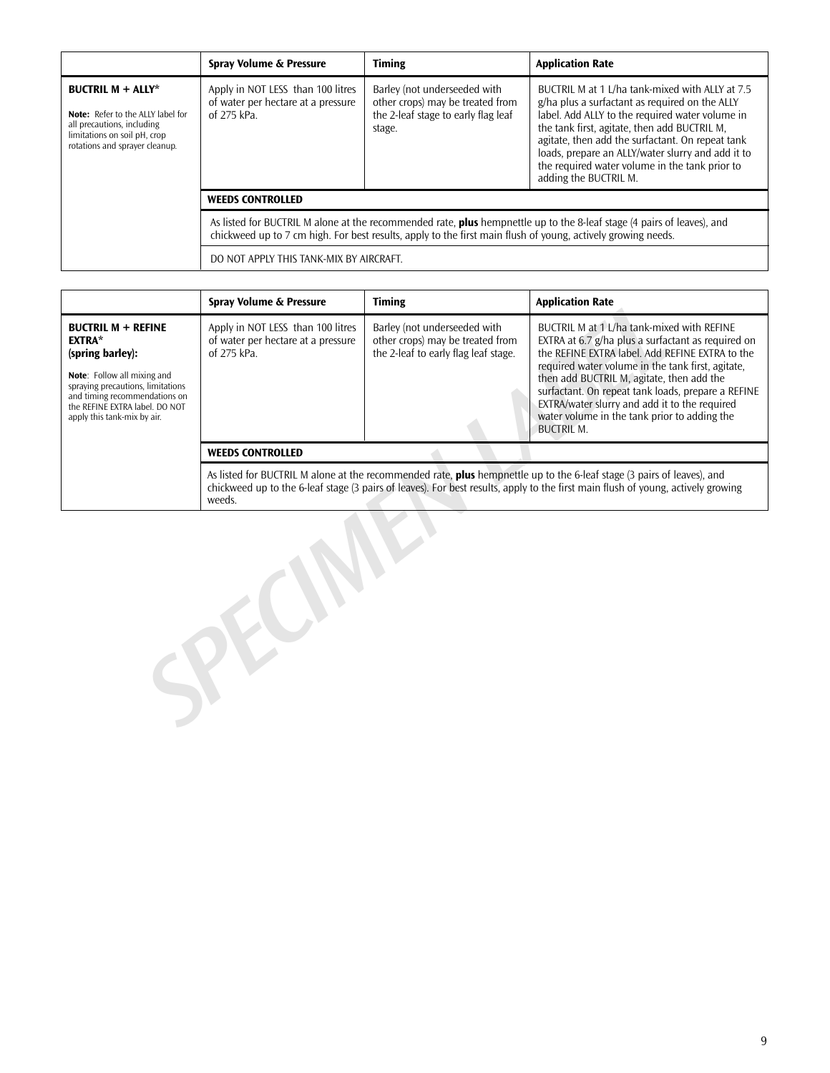|                                                                                                                                                                      | Spray Volume & Pressure                                                                                                                                                                                                                       | <b>Timing</b>                                                                                                     | <b>Application Rate</b>                                                                                                                                                                                                                                                                                                                                                                  |  |
|----------------------------------------------------------------------------------------------------------------------------------------------------------------------|-----------------------------------------------------------------------------------------------------------------------------------------------------------------------------------------------------------------------------------------------|-------------------------------------------------------------------------------------------------------------------|------------------------------------------------------------------------------------------------------------------------------------------------------------------------------------------------------------------------------------------------------------------------------------------------------------------------------------------------------------------------------------------|--|
| <b>BUCTRIL M + ALLY*</b><br><b>Note:</b> Refer to the ALLY label for<br>all precautions, including<br>limitations on soil pH, crop<br>rotations and sprayer cleanup. | Apply in NOT LESS than 100 litres<br>of water per hectare at a pressure<br>of 275 kPa.                                                                                                                                                        | Barley (not underseeded with<br>other crops) may be treated from<br>the 2-leaf stage to early flag leaf<br>stage. | BUCTRIL M at 1 L/ha tank-mixed with ALLY at 7.5<br>g/ha plus a surfactant as required on the ALLY<br>label. Add ALLY to the required water volume in<br>the tank first, agitate, then add BUCTRIL M,<br>agitate, then add the surfactant. On repeat tank<br>loads, prepare an ALLY/water slurry and add it to<br>the required water volume in the tank prior to<br>adding the BUCTRIL M. |  |
|                                                                                                                                                                      | <b>WEEDS CONTROLLED</b>                                                                                                                                                                                                                       |                                                                                                                   |                                                                                                                                                                                                                                                                                                                                                                                          |  |
|                                                                                                                                                                      | As listed for BUCTRIL M alone at the recommended rate, <b>plus</b> hempnettle up to the 8-leaf stage (4 pairs of leaves), and<br>chickweed up to 7 cm high. For best results, apply to the first main flush of young, actively growing needs. |                                                                                                                   |                                                                                                                                                                                                                                                                                                                                                                                          |  |
|                                                                                                                                                                      | DO NOT APPLY THIS TANK-MIX BY AIRCRAFT.                                                                                                                                                                                                       |                                                                                                                   |                                                                                                                                                                                                                                                                                                                                                                                          |  |

|                                                                                                                                                                                                                                      | Spray Volume & Pressure                                                                                                                                                                                                                                              | <b>Timing</b>                                                                                            | <b>Application Rate</b>                                                                                                                                                                                                                                                                                                                                                                                                           |  |
|--------------------------------------------------------------------------------------------------------------------------------------------------------------------------------------------------------------------------------------|----------------------------------------------------------------------------------------------------------------------------------------------------------------------------------------------------------------------------------------------------------------------|----------------------------------------------------------------------------------------------------------|-----------------------------------------------------------------------------------------------------------------------------------------------------------------------------------------------------------------------------------------------------------------------------------------------------------------------------------------------------------------------------------------------------------------------------------|--|
| <b>BUCTRIL M + REFINE</b><br><b>EXTRA*</b><br>(spring barley):<br>Note: Follow all mixing and<br>spraying precautions, limitations<br>and timing recommendations on<br>the REFINE EXTRA label. DO NOT<br>apply this tank-mix by air. | Apply in NOT LESS than 100 litres<br>of water per hectare at a pressure<br>of 275 kPa.                                                                                                                                                                               | Barley (not underseeded with<br>other crops) may be treated from<br>the 2-leaf to early flag leaf stage. | BUCTRIL M at 1 J/ha tank-mixed with REEINE<br>EXTRA at 6.7 g/ha plus a surfactant as required on<br>the REFINE EXTRA label. Add REFINE EXTRA to the<br>required water volume in the tank first, agitate,<br>then add BUCTRIL M, agitate, then add the<br>surfactant. On repeat tank loads, prepare a REFINE<br>EXTRA/water slurry and add it to the required<br>water volume in the tank prior to adding the<br><b>BUCTRIL M.</b> |  |
|                                                                                                                                                                                                                                      | <b>WEEDS CONTROLLED</b>                                                                                                                                                                                                                                              |                                                                                                          |                                                                                                                                                                                                                                                                                                                                                                                                                                   |  |
|                                                                                                                                                                                                                                      | As listed for BUCTRIL M alone at the recommended rate, plus hempnettle up to the 6-leaf stage (3 pairs of leaves), and<br>chickweed up to the 6-leaf stage (3 pairs of leaves). For best results, apply to the first main flush of young, actively growing<br>weeds. |                                                                                                          |                                                                                                                                                                                                                                                                                                                                                                                                                                   |  |
|                                                                                                                                                                                                                                      |                                                                                                                                                                                                                                                                      |                                                                                                          |                                                                                                                                                                                                                                                                                                                                                                                                                                   |  |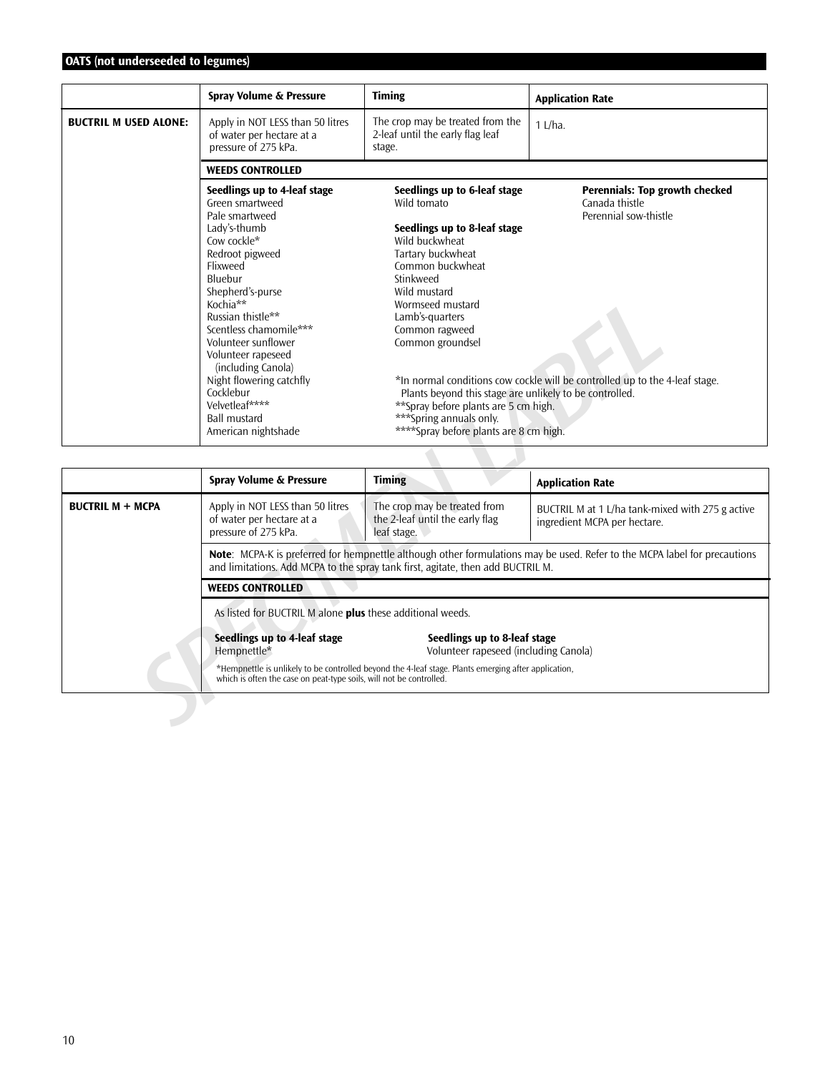# **OATS (not underseeded to legumes)**

|                              | Spray Volume & Pressure                                                                                                                                                                                                                                                                                                                                                                               | <b>Timing</b>                                                                                                                                                                                                                                                                                                                                                                                                             | <b>Application Rate</b>                                                                                                                                         |
|------------------------------|-------------------------------------------------------------------------------------------------------------------------------------------------------------------------------------------------------------------------------------------------------------------------------------------------------------------------------------------------------------------------------------------------------|---------------------------------------------------------------------------------------------------------------------------------------------------------------------------------------------------------------------------------------------------------------------------------------------------------------------------------------------------------------------------------------------------------------------------|-----------------------------------------------------------------------------------------------------------------------------------------------------------------|
| <b>BUCTRIL M USED ALONE:</b> | Apply in NOT LESS than 50 litres<br>of water per hectare at a<br>pressure of 275 kPa.                                                                                                                                                                                                                                                                                                                 | The crop may be treated from the<br>2-leaf until the early flag leaf<br>stage.                                                                                                                                                                                                                                                                                                                                            | $1$ L/ha.                                                                                                                                                       |
|                              | <b>WEEDS CONTROLLED</b>                                                                                                                                                                                                                                                                                                                                                                               |                                                                                                                                                                                                                                                                                                                                                                                                                           |                                                                                                                                                                 |
|                              | Seedlings up to 4-leaf stage<br>Green smartweed<br>Pale smartweed<br>Lady's-thumb<br>Cow cockle*<br>Redroot pigweed<br>Flixweed<br>Bluebur<br>Shepherd's-purse<br>Kochia**<br>Russian thistle**<br>Scentless chamomile***<br>Volunteer sunflower<br>Volunteer rapeseed<br>(including Canola)<br>Night flowering catchfly<br>Cocklebur<br>Velvetleaf****<br><b>Ball mustard</b><br>American nightshade | Seedlings up to 6-leaf stage<br>Wild tomato<br>Seedlings up to 8-leaf stage<br>Wild buckwheat<br>Tartary buckwheat<br>Common buckwheat<br>Stinkweed<br>Wild mustard<br>Wormseed mustard<br>Lamb's-quarters<br>Common ragweed<br>Common groundsel<br>Plants beyond this stage are unlikely to be controlled.<br>** Spray before plants are 5 cm high.<br>***Spring annuals only.<br>****Spray before plants are 8 cm high. | <b>Perennials: Top growth checked</b><br>Canada thistle<br>Perennial sow-thistle<br>*In normal conditions cow cockle will be controlled up to the 4-leaf stage. |

|                         | Kochia**                                                                                                                                          | Wormseed mustard                                                                                                                                                                                                                                     |                                                                                                                           |  |
|-------------------------|---------------------------------------------------------------------------------------------------------------------------------------------------|------------------------------------------------------------------------------------------------------------------------------------------------------------------------------------------------------------------------------------------------------|---------------------------------------------------------------------------------------------------------------------------|--|
|                         | Russian thistle**<br>Scentless chamomile***                                                                                                       | Lamb's-quarters<br>Common ragweed                                                                                                                                                                                                                    |                                                                                                                           |  |
|                         | Volunteer sunflower                                                                                                                               | Common groundsel                                                                                                                                                                                                                                     |                                                                                                                           |  |
|                         | Volunteer rapeseed<br>(including Canola)<br>Night flowering catchfly<br>Cocklebur<br>Velvetleaf****<br><b>Ball mustard</b><br>American nightshade | *In normal conditions cow cockle will be controlled up to the 4-leaf stage.<br>Plants beyond this stage are unlikely to be controlled.<br>** Spray before plants are 5 cm high.<br>***Spring annuals only.<br>****Spray before plants are 8 cm high. |                                                                                                                           |  |
|                         |                                                                                                                                                   |                                                                                                                                                                                                                                                      |                                                                                                                           |  |
|                         | Spray Volume & Pressure                                                                                                                           | <b>Timing</b>                                                                                                                                                                                                                                        | <b>Application Rate</b>                                                                                                   |  |
| <b>BUCTRIL M + MCPA</b> | Apply in NOT LESS than 50 litres<br>of water per hectare at a<br>pressure of 275 kPa.                                                             | The crop may be treated from<br>the 2-leaf until the early flag<br>leaf stage.                                                                                                                                                                       | BUCTRIL M at 1 L/ha tank-mixed with 275 g active<br>ingredient MCPA per hectare.                                          |  |
|                         |                                                                                                                                                   | and limitations. Add MCPA to the spray tank first, agitate, then add BUCTRIL M.                                                                                                                                                                      | Note: MCPA-K is preferred for hempnettle although other formulations may be used. Refer to the MCPA label for precautions |  |
|                         | <b>WEEDS CONTROLLED</b>                                                                                                                           |                                                                                                                                                                                                                                                      |                                                                                                                           |  |
|                         | As listed for BUCTRIL M alone plus these additional weeds.                                                                                        |                                                                                                                                                                                                                                                      |                                                                                                                           |  |
|                         | Seedlings up to 4-leaf stage<br>Hempnettle*                                                                                                       | Seedlings up to 8-leaf stage<br>Volunteer rapeseed (including Canola)                                                                                                                                                                                |                                                                                                                           |  |
|                         | which is often the case on peat-type soils, will not be controlled.                                                                               | *Hempnettle is unlikely to be controlled beyond the 4-leaf stage. Plants emerging after application,                                                                                                                                                 |                                                                                                                           |  |
|                         |                                                                                                                                                   |                                                                                                                                                                                                                                                      |                                                                                                                           |  |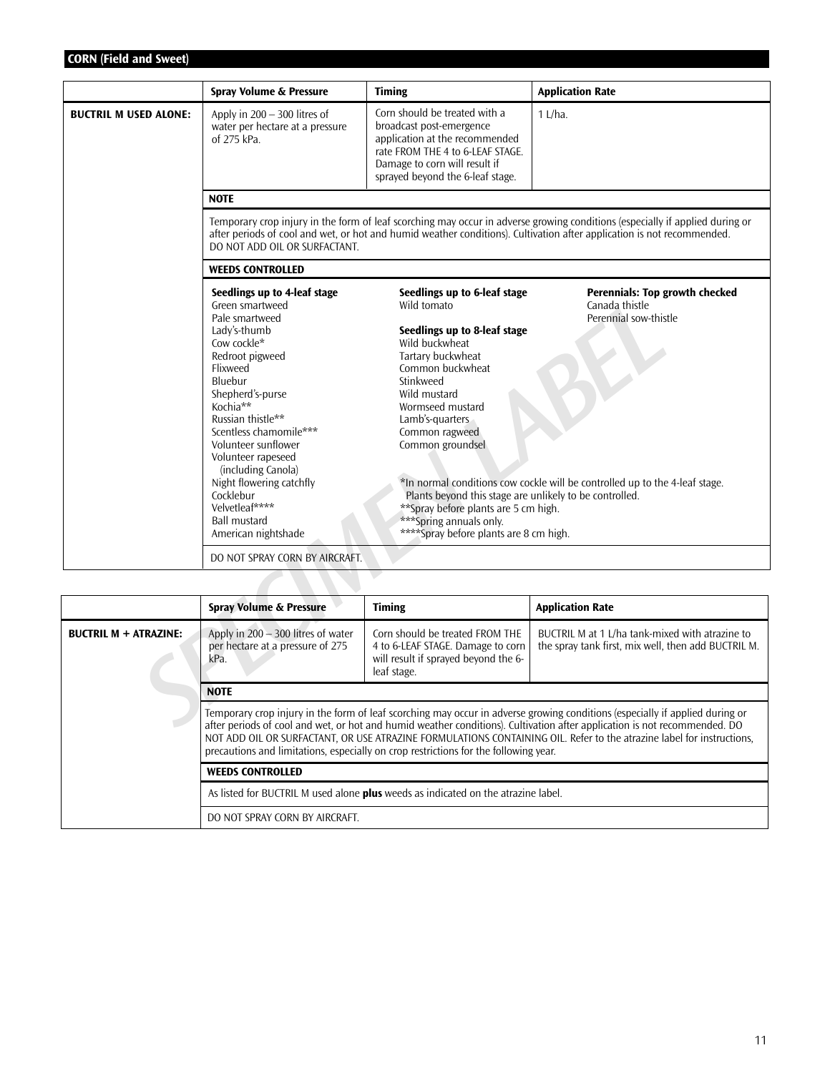# **CORN (Field and Sweet)**

|                              | Spray Volume & Pressure                                                                                                                                                                                                                                                                                                                                                                               | <b>Timing</b>                                                                                                                                                                                                                                                                                                                                                                                                              | <b>Application Rate</b>                                                                                                                                                                                                                                   |  |
|------------------------------|-------------------------------------------------------------------------------------------------------------------------------------------------------------------------------------------------------------------------------------------------------------------------------------------------------------------------------------------------------------------------------------------------------|----------------------------------------------------------------------------------------------------------------------------------------------------------------------------------------------------------------------------------------------------------------------------------------------------------------------------------------------------------------------------------------------------------------------------|-----------------------------------------------------------------------------------------------------------------------------------------------------------------------------------------------------------------------------------------------------------|--|
| <b>BUCTRIL M USED ALONE:</b> | Apply in $200 - 300$ litres of<br>water per hectare at a pressure<br>of 275 kPa.                                                                                                                                                                                                                                                                                                                      | Corn should be treated with a<br>broadcast post-emergence<br>application at the recommended<br>rate FROM THE 4 to 6-LEAF STAGE.<br>Damage to corn will result if<br>sprayed beyond the 6-leaf stage.                                                                                                                                                                                                                       | $1$ L/ha.                                                                                                                                                                                                                                                 |  |
|                              | <b>NOTE</b>                                                                                                                                                                                                                                                                                                                                                                                           |                                                                                                                                                                                                                                                                                                                                                                                                                            |                                                                                                                                                                                                                                                           |  |
|                              | Temporary crop injury in the form of leaf scorching may occur in adverse growing conditions (especially if applied during or<br>after periods of cool and wet, or hot and humid weather conditions). Cultivation after application is not recommended.<br>DO NOT ADD OIL OR SURFACTANT.                                                                                                               |                                                                                                                                                                                                                                                                                                                                                                                                                            |                                                                                                                                                                                                                                                           |  |
|                              | <b>WEEDS CONTROLLED</b>                                                                                                                                                                                                                                                                                                                                                                               |                                                                                                                                                                                                                                                                                                                                                                                                                            |                                                                                                                                                                                                                                                           |  |
|                              | Seedlings up to 4-leaf stage<br>Green smartweed<br>Pale smartweed<br>Lady's-thumb<br>Cow cockle*<br>Redroot pigweed<br>Flixweed<br>Bluebur<br>Shepherd's-purse<br>Kochia**<br>Russian thistle**<br>Scentless chamomile***<br>Volunteer sunflower<br>Volunteer rapeseed<br>(including Canola)<br>Night flowering catchfly<br>Cocklebur<br>Velvetleaf****<br><b>Ball mustard</b><br>American nightshade | Seedlings up to 6-leaf stage<br>Wild tomato<br>Seedlings up to 8-leaf stage<br>Wild buckwheat<br>Tartary buckwheat<br>Common buckwheat<br>Stinkweed<br>Wild mustard<br>Wormseed mustard<br>Lamb's-quarters<br>Common ragweed<br>Common groundsel<br>Plants beyond this stage are unlikely to be controlled.<br>**Spray before plants are 5 cm high.<br>*** Spring annuals only.<br>**** Spray before plants are 8 cm high. | Perennials: Top growth checked<br>Canada thistle<br>Perennial sow-thistle<br>*In normal conditions cow cockle will be controlled up to the 4-leaf stage.                                                                                                  |  |
|                              | DO NOT SPRAY CORN BY AIRCRAFT.                                                                                                                                                                                                                                                                                                                                                                        |                                                                                                                                                                                                                                                                                                                                                                                                                            |                                                                                                                                                                                                                                                           |  |
|                              |                                                                                                                                                                                                                                                                                                                                                                                                       |                                                                                                                                                                                                                                                                                                                                                                                                                            |                                                                                                                                                                                                                                                           |  |
|                              | <b>Spray Volume &amp; Pressure</b>                                                                                                                                                                                                                                                                                                                                                                    | <b>Timing</b>                                                                                                                                                                                                                                                                                                                                                                                                              | <b>Application Rate</b>                                                                                                                                                                                                                                   |  |
| <b>BUCTRIL M + ATRAZINE:</b> | Apply in $200 - 300$ litres of water<br>per hectare at a pressure of 275<br>kPa.                                                                                                                                                                                                                                                                                                                      | Corn should be treated FROM THE<br>4 to 6-LEAF STAGE. Damage to corn<br>will result if sprayed beyond the 6-<br>leaf stage.                                                                                                                                                                                                                                                                                                | BUCTRIL M at 1 L/ha tank-mixed with atrazine to<br>the spray tank first, mix well, then add BUCTRIL M.                                                                                                                                                    |  |
|                              | <b>NOTE</b>                                                                                                                                                                                                                                                                                                                                                                                           |                                                                                                                                                                                                                                                                                                                                                                                                                            |                                                                                                                                                                                                                                                           |  |
|                              |                                                                                                                                                                                                                                                                                                                                                                                                       |                                                                                                                                                                                                                                                                                                                                                                                                                            | Temporary crop injury in the form of leaf scorching may occur in adverse growing conditions (especially if applied during or<br>after periods of cool and wet, or hot and humid weather conditions). Cultivation after application is not recommended. DO |  |

|                              | <b>Spray Volume &amp; Pressure</b>                                                                                                                                                                                                                                                                                                                                                                                                                                                                                                                                                                                                  | <b>Timing</b>                                                                                                               | <b>Application Rate</b>                                                                                |  |
|------------------------------|-------------------------------------------------------------------------------------------------------------------------------------------------------------------------------------------------------------------------------------------------------------------------------------------------------------------------------------------------------------------------------------------------------------------------------------------------------------------------------------------------------------------------------------------------------------------------------------------------------------------------------------|-----------------------------------------------------------------------------------------------------------------------------|--------------------------------------------------------------------------------------------------------|--|
| <b>BUCTRIL M + ATRAZINE:</b> | Apply in $200 - 300$ litres of water<br>per hectare at a pressure of 275<br>kPa.                                                                                                                                                                                                                                                                                                                                                                                                                                                                                                                                                    | Corn should be treated FROM THE<br>4 to 6-LEAF STAGE. Damage to corn<br>will result if sprayed beyond the 6-<br>leaf stage. | BUCTRIL M at 1 L/ha tank-mixed with atrazine to<br>the spray tank first, mix well, then add BUCTRIL M. |  |
|                              | <b>NOTE</b>                                                                                                                                                                                                                                                                                                                                                                                                                                                                                                                                                                                                                         |                                                                                                                             |                                                                                                        |  |
|                              | Temporary crop injury in the form of leaf scorching may occur in adverse growing conditions (especially if applied during or<br>after periods of cool and wet, or hot and humid weather conditions). Cultivation after application is not recommended. DO<br>NOT ADD OIL OR SURFACTANT, OR USE ATRAZINE FORMULATIONS CONTAINING OIL. Refer to the atrazine label for instructions,<br>precautions and limitations, especially on crop restrictions for the following year.<br><b>WEEDS CONTROLLED</b><br>As listed for BUCTRIL M used alone <b>plus</b> weeds as indicated on the atrazine label.<br>DO NOT SPRAY CORN BY AIRCRAFT. |                                                                                                                             |                                                                                                        |  |
|                              |                                                                                                                                                                                                                                                                                                                                                                                                                                                                                                                                                                                                                                     |                                                                                                                             |                                                                                                        |  |
|                              |                                                                                                                                                                                                                                                                                                                                                                                                                                                                                                                                                                                                                                     |                                                                                                                             |                                                                                                        |  |
|                              |                                                                                                                                                                                                                                                                                                                                                                                                                                                                                                                                                                                                                                     |                                                                                                                             |                                                                                                        |  |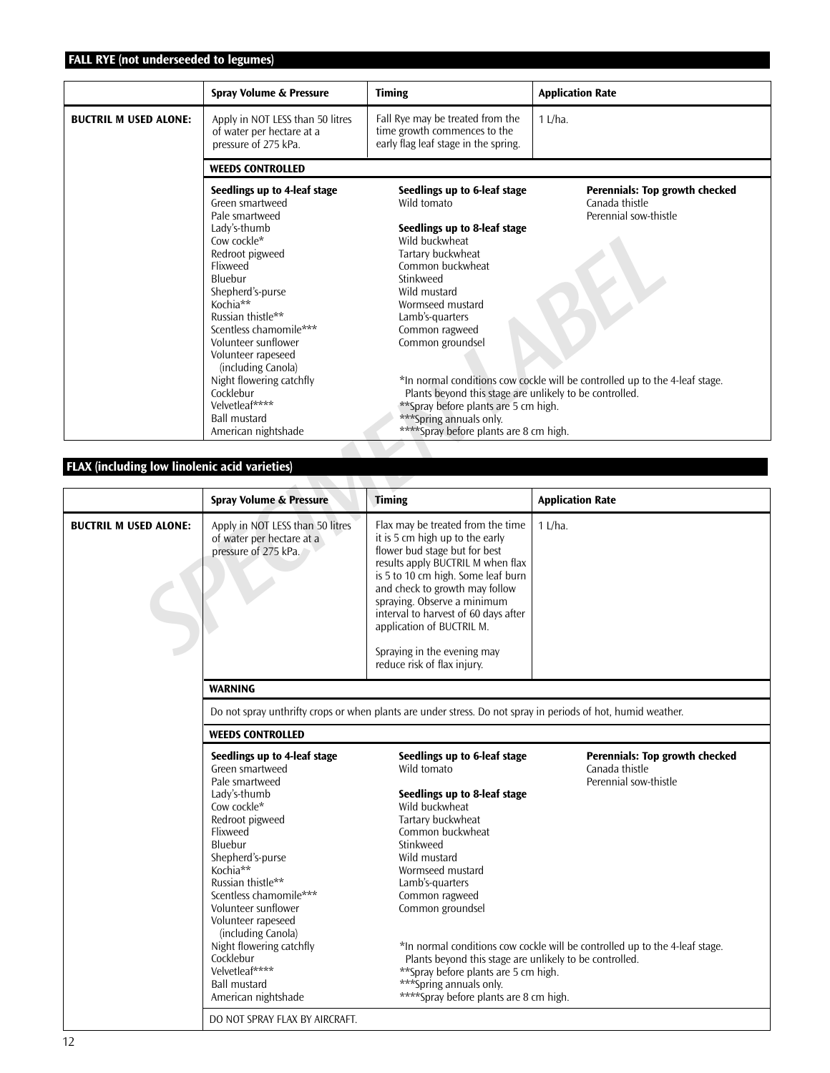# **FALL RYE (not underseeded to legumes)**

|                                               | Spray Volume & Pressure                                                                                                                                                                                                                                                                                                               | <b>Timing</b>                                                                                                                                                                                                                                                                                                                                         | <b>Application Rate</b>                                                                                                                                  |  |  |
|-----------------------------------------------|---------------------------------------------------------------------------------------------------------------------------------------------------------------------------------------------------------------------------------------------------------------------------------------------------------------------------------------|-------------------------------------------------------------------------------------------------------------------------------------------------------------------------------------------------------------------------------------------------------------------------------------------------------------------------------------------------------|----------------------------------------------------------------------------------------------------------------------------------------------------------|--|--|
| <b>BUCTRIL M USED ALONE:</b>                  | Apply in NOT LESS than 50 litres<br>of water per hectare at a<br>pressure of 275 kPa.                                                                                                                                                                                                                                                 | Fall Rye may be treated from the<br>time growth commences to the<br>early flag leaf stage in the spring.                                                                                                                                                                                                                                              | $1$ L/ha.                                                                                                                                                |  |  |
|                                               | <b>WEEDS CONTROLLED</b>                                                                                                                                                                                                                                                                                                               |                                                                                                                                                                                                                                                                                                                                                       |                                                                                                                                                          |  |  |
|                                               | Seedlings up to 4-leaf stage<br>Green smartweed<br>Pale smartweed<br>Lady's-thumb<br>Cow cockle*<br>Redroot pigweed<br>Flixweed<br>Bluebur<br>Shepherd's-purse<br>Kochia**<br>Russian thistle**<br>Scentless chamomile***<br>Volunteer sunflower<br>Volunteer rapeseed<br>(including Canola)<br>Night flowering catchfly<br>Cocklebur | Seedlings up to 6-leaf stage<br>Wild tomato<br>Seedlings up to 8-leaf stage<br>Wild buckwheat<br>Tartary buckwheat<br>Common buckwheat<br>Stinkweed<br>Wild mustard<br>Wormseed mustard<br>Lamb's-quarters<br>Common ragweed<br>Common groundsel<br>Plants beyond this stage are unlikely to be controlled.                                           | Perennials: Top growth checked<br>Canada thistle<br>Perennial sow-thistle<br>*In normal conditions cow cockle will be controlled up to the 4-leaf stage. |  |  |
|                                               | Velvetleaf****<br><b>Ball mustard</b><br>American nightshade                                                                                                                                                                                                                                                                          | **Spray before plants are 5 cm high.<br>***Spring annuals only.<br>****Spray before plants are 8 cm high.                                                                                                                                                                                                                                             |                                                                                                                                                          |  |  |
| FLAX (including low linolenic acid varieties) |                                                                                                                                                                                                                                                                                                                                       |                                                                                                                                                                                                                                                                                                                                                       |                                                                                                                                                          |  |  |
|                                               | <b>Spray Volume &amp; Pressure</b>                                                                                                                                                                                                                                                                                                    | <b>Timing</b>                                                                                                                                                                                                                                                                                                                                         | <b>Application Rate</b>                                                                                                                                  |  |  |
| <b>BUCTRIL M USED ALONE:</b>                  | Apply in NOT LESS than 50 litres<br>of water per hectare at a<br>pressure of 275 kPa.                                                                                                                                                                                                                                                 | Flax may be treated from the time<br>it is 5 cm high up to the early<br>flower bud stage but for best<br>results apply BUCTRIL M when flax<br>is 5 to 10 cm high. Some leaf burn<br>and check to growth may follow<br>spraying. Observe a minimum<br>interval to harvest of 60 days after<br>application of BUCTRIL M.<br>Spraying in the evening may | $1$ L/ha.                                                                                                                                                |  |  |

# **FLAX (including low linolenic acid varieties)**

|                              | <b>Spray Volume &amp; Pressure</b>                                                                                                                                                                                                                                                                                       | <b>Timing</b>                                                                                                                                                                                                                                                                                                                                                                        | <b>Application Rate</b>                                                                                                                                         |  |
|------------------------------|--------------------------------------------------------------------------------------------------------------------------------------------------------------------------------------------------------------------------------------------------------------------------------------------------------------------------|--------------------------------------------------------------------------------------------------------------------------------------------------------------------------------------------------------------------------------------------------------------------------------------------------------------------------------------------------------------------------------------|-----------------------------------------------------------------------------------------------------------------------------------------------------------------|--|
| <b>BUCTRIL M USED ALONE:</b> | Apply in NOT LESS than 50 litres<br>of water per hectare at a<br>pressure of 275 kPa.                                                                                                                                                                                                                                    | Flax may be treated from the time<br>it is 5 cm high up to the early<br>flower bud stage but for best<br>results apply BUCTRIL M when flax<br>is 5 to 10 cm high. Some leaf burn<br>and check to growth may follow<br>spraying. Observe a minimum<br>interval to harvest of 60 days after<br>application of BUCTRIL M.<br>Spraying in the evening may<br>reduce risk of flax injury. | $1$ L/ha.                                                                                                                                                       |  |
|                              | <b>WARNING</b>                                                                                                                                                                                                                                                                                                           |                                                                                                                                                                                                                                                                                                                                                                                      |                                                                                                                                                                 |  |
|                              | Do not spray unthrifty crops or when plants are under stress. Do not spray in periods of hot, humid weather.                                                                                                                                                                                                             |                                                                                                                                                                                                                                                                                                                                                                                      |                                                                                                                                                                 |  |
|                              | <b>WEEDS CONTROLLED</b>                                                                                                                                                                                                                                                                                                  |                                                                                                                                                                                                                                                                                                                                                                                      |                                                                                                                                                                 |  |
|                              | Seedlings up to 4-leaf stage<br>Green smartweed<br>Pale smartweed<br>Lady's-thumb<br>Cow cockle*<br>Redroot pigweed<br>Flixweed<br>Bluebur<br>Shepherd's-purse<br>Kochia**<br>Russian thistle**<br>Scentless chamomile***<br>Volunteer sunflower<br>Volunteer rapeseed<br>(including Canola)<br>Night flowering catchfly | Seedlings up to 6-leaf stage<br>Wild tomato<br>Seedlings up to 8-leaf stage<br>Wild buckwheat<br>Tartary buckwheat<br>Common buckwheat<br>Stinkweed<br>Wild mustard<br>Wormseed mustard<br>Lamb's-quarters<br>Common ragweed<br>Common groundsel                                                                                                                                     | <b>Perennials: Top growth checked</b><br>Canada thistle<br>Perennial sow-thistle<br>*In normal conditions cow cockle will be controlled up to the 4-leaf stage. |  |
|                              | Cocklebur<br>Velvetleaf****<br><b>Ball mustard</b><br>American nightshade                                                                                                                                                                                                                                                | Plants beyond this stage are unlikely to be controlled.<br>**Spray before plants are 5 cm high.<br>***Spring annuals only.<br>****Spray before plants are 8 cm high.                                                                                                                                                                                                                 |                                                                                                                                                                 |  |
|                              | DO NOT SPRAY FLAX BY AIRCRAFT.                                                                                                                                                                                                                                                                                           |                                                                                                                                                                                                                                                                                                                                                                                      |                                                                                                                                                                 |  |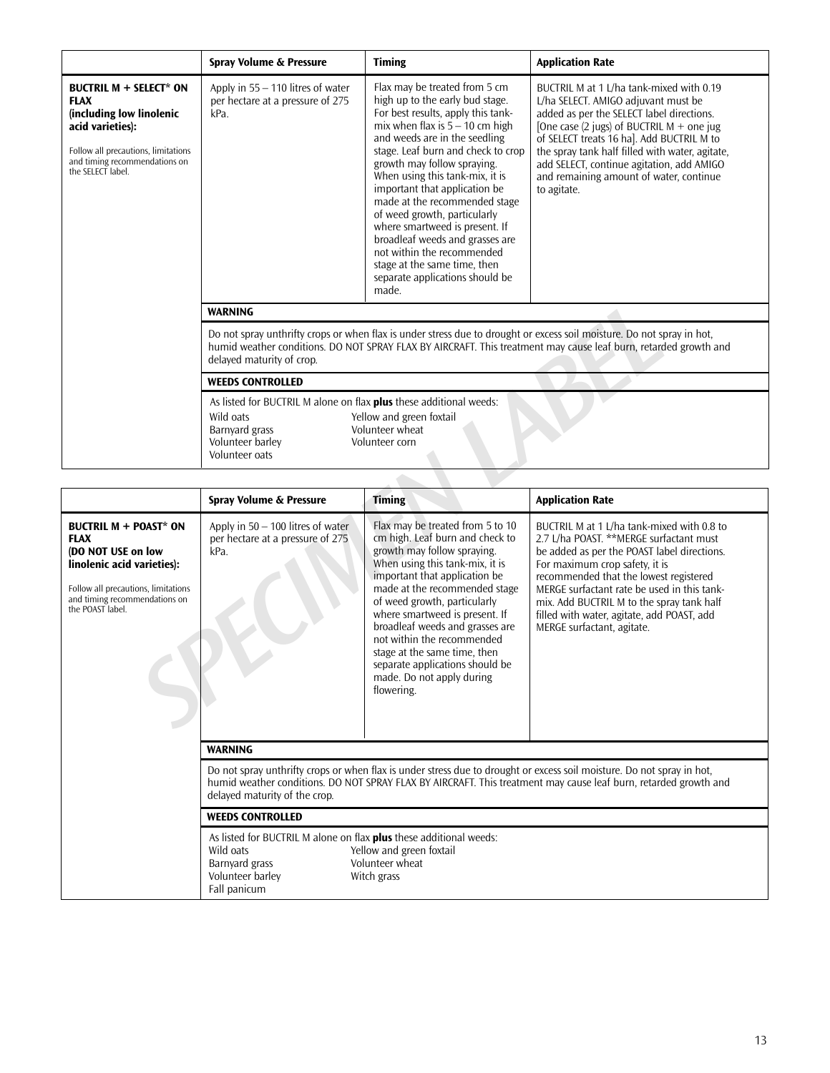|                                                                                                                                                                                      | Spray Volume & Pressure                                                                                                                                                                                                                                                 | <b>Timing</b>                                                                                                                                                                                                                                                                                                                                                                                                                                                                                                                                                          | <b>Application Rate</b>                                                                                                                                                                                                                                                                                                                                                            |  |
|--------------------------------------------------------------------------------------------------------------------------------------------------------------------------------------|-------------------------------------------------------------------------------------------------------------------------------------------------------------------------------------------------------------------------------------------------------------------------|------------------------------------------------------------------------------------------------------------------------------------------------------------------------------------------------------------------------------------------------------------------------------------------------------------------------------------------------------------------------------------------------------------------------------------------------------------------------------------------------------------------------------------------------------------------------|------------------------------------------------------------------------------------------------------------------------------------------------------------------------------------------------------------------------------------------------------------------------------------------------------------------------------------------------------------------------------------|--|
| BUCTRIL $M + SELECT* ON$<br><b>FLAX</b><br>(including low linolenic<br>acid varieties):<br>Follow all precautions, limitations<br>and timing recommendations on<br>the SELECT label. | Apply in $55 - 110$ litres of water<br>per hectare at a pressure of 275<br>kPa.                                                                                                                                                                                         | Flax may be treated from 5 cm<br>high up to the early bud stage.<br>For best results, apply this tank-<br>mix when flax is $5 - 10$ cm high<br>and weeds are in the seedling<br>stage. Leaf burn and check to crop<br>growth may follow spraying.<br>When using this tank-mix, it is<br>important that application be.<br>made at the recommended stage<br>of weed growth, particularly<br>where smartweed is present. If<br>broadleaf weeds and grasses are<br>not within the recommended<br>stage at the same time, then<br>separate applications should be<br>made. | BUCTRIL M at 1 L/ha tank-mixed with 0.19<br>L/ha SELECT. AMIGO adjuvant must be<br>added as per the SELECT label directions.<br>[One case $(2$ jugs) of BUCTRIL M + one jug<br>of SELECT treats 16 ha]. Add BUCTRIL M to<br>the spray tank half filled with water, agitate,<br>add SELECT, continue agitation, add AMIGO<br>and remaining amount of water, continue<br>to agitate. |  |
|                                                                                                                                                                                      | <b>WARNING</b>                                                                                                                                                                                                                                                          |                                                                                                                                                                                                                                                                                                                                                                                                                                                                                                                                                                        |                                                                                                                                                                                                                                                                                                                                                                                    |  |
|                                                                                                                                                                                      | Do not spray unthrifty crops or when flax is under stress due to drought or excess soil moisture. Do not spray in hot,<br>humid weather conditions. DO NOT SPRAY FLAX BY AIRCRAFT. This treatment may cause leaf burn, retarded growth and<br>delayed maturity of crop. |                                                                                                                                                                                                                                                                                                                                                                                                                                                                                                                                                                        |                                                                                                                                                                                                                                                                                                                                                                                    |  |
|                                                                                                                                                                                      | <b>WEEDS CONTROLLED</b>                                                                                                                                                                                                                                                 |                                                                                                                                                                                                                                                                                                                                                                                                                                                                                                                                                                        |                                                                                                                                                                                                                                                                                                                                                                                    |  |
|                                                                                                                                                                                      | As listed for BUCTRIL M alone on flax plus these additional weeds:<br>Yellow and green foxtail<br>Wild oats<br>Volunteer wheat<br>Barnyard grass<br>Volunteer barley<br>Volunteer corn<br>Volunteer oats                                                                |                                                                                                                                                                                                                                                                                                                                                                                                                                                                                                                                                                        |                                                                                                                                                                                                                                                                                                                                                                                    |  |

|                                                                                                                                                                                             | <b>WARNING</b>                                                                                                                                                                                                                                                                                         |                                                                                                                                                                                                                                                                                                                                                                                                                                                          |                                                                                                                                                                                                                                                                                                                                                                                          |  |  |  |
|---------------------------------------------------------------------------------------------------------------------------------------------------------------------------------------------|--------------------------------------------------------------------------------------------------------------------------------------------------------------------------------------------------------------------------------------------------------------------------------------------------------|----------------------------------------------------------------------------------------------------------------------------------------------------------------------------------------------------------------------------------------------------------------------------------------------------------------------------------------------------------------------------------------------------------------------------------------------------------|------------------------------------------------------------------------------------------------------------------------------------------------------------------------------------------------------------------------------------------------------------------------------------------------------------------------------------------------------------------------------------------|--|--|--|
|                                                                                                                                                                                             | Do not spray unthrifty crops or when flax is under stress due to drought or excess soil moisture. Do not spray in hot,<br>humid weather conditions. DO NOT SPRAY FLAX BY AIRCRAFT. This treatment may cause leaf burn, retarded growth and<br>delayed maturity of crop.                                |                                                                                                                                                                                                                                                                                                                                                                                                                                                          |                                                                                                                                                                                                                                                                                                                                                                                          |  |  |  |
|                                                                                                                                                                                             | <b>WEEDS CONTROLLED</b>                                                                                                                                                                                                                                                                                |                                                                                                                                                                                                                                                                                                                                                                                                                                                          |                                                                                                                                                                                                                                                                                                                                                                                          |  |  |  |
|                                                                                                                                                                                             | As listed for BUCTRIL M alone on flax plus these additional weeds:<br>Yellow and green foxtail<br>Wild oats<br>Volunteer wheat<br>Barnyard grass<br>Volunteer barley<br>Volunteer corn<br>Volunteer oats                                                                                               |                                                                                                                                                                                                                                                                                                                                                                                                                                                          |                                                                                                                                                                                                                                                                                                                                                                                          |  |  |  |
|                                                                                                                                                                                             | Spray Volume & Pressure<br><b>Timing</b><br><b>Application Rate</b>                                                                                                                                                                                                                                    |                                                                                                                                                                                                                                                                                                                                                                                                                                                          |                                                                                                                                                                                                                                                                                                                                                                                          |  |  |  |
| <b>BUCTRIL M + POAST* ON</b><br><b>FLAX</b><br>(DO NOT USE on low<br>linolenic acid varieties):<br>Follow all precautions, limitations<br>and timing recommendations on<br>the POAST label. | Apply in $50 - 100$ litres of water<br>per hectare at a pressure of 275<br>kPa.                                                                                                                                                                                                                        | Flax may be treated from 5 to 10<br>cm high. Leaf burn and check to<br>growth may follow spraying.<br>When using this tank-mix, it is<br>important that application be<br>made at the recommended stage<br>of weed growth, particularly<br>where smartweed is present. If<br>broadleaf weeds and grasses are<br>not within the recommended<br>stage at the same time, then<br>separate applications should be<br>made. Do not apply during<br>flowering. | BUCTRIL M at 1 L/ha tank-mixed with 0.8 to<br>2.7 L/ha POAST. **MERGE surfactant must<br>be added as per the POAST label directions.<br>For maximum crop safety, it is<br>recommended that the lowest registered<br>MERGE surfactant rate be used in this tank-<br>mix. Add BUCTRIL M to the spray tank half<br>filled with water, agitate, add POAST, add<br>MERGE surfactant, agitate. |  |  |  |
|                                                                                                                                                                                             | <b>WARNING</b>                                                                                                                                                                                                                                                                                         |                                                                                                                                                                                                                                                                                                                                                                                                                                                          |                                                                                                                                                                                                                                                                                                                                                                                          |  |  |  |
|                                                                                                                                                                                             | Do not spray unthrifty crops or when flax is under stress due to drought or excess soil moisture. Do not spray in hot,<br>humid weather conditions. DO NOT SPRAY FLAX BY AIRCRAFT. This treatment may cause leaf burn, retarded growth and<br>delayed maturity of the crop.<br><b>WEEDS CONTROLLED</b> |                                                                                                                                                                                                                                                                                                                                                                                                                                                          |                                                                                                                                                                                                                                                                                                                                                                                          |  |  |  |
|                                                                                                                                                                                             |                                                                                                                                                                                                                                                                                                        |                                                                                                                                                                                                                                                                                                                                                                                                                                                          |                                                                                                                                                                                                                                                                                                                                                                                          |  |  |  |
|                                                                                                                                                                                             | As listed for BUCTRIL M alone on flax plus these additional weeds:<br>Wild oats<br>Yellow and green foxtail<br>Barnyard grass<br>Volunteer wheat<br>Volunteer barley<br>Witch grass<br>Fall panicum                                                                                                    |                                                                                                                                                                                                                                                                                                                                                                                                                                                          |                                                                                                                                                                                                                                                                                                                                                                                          |  |  |  |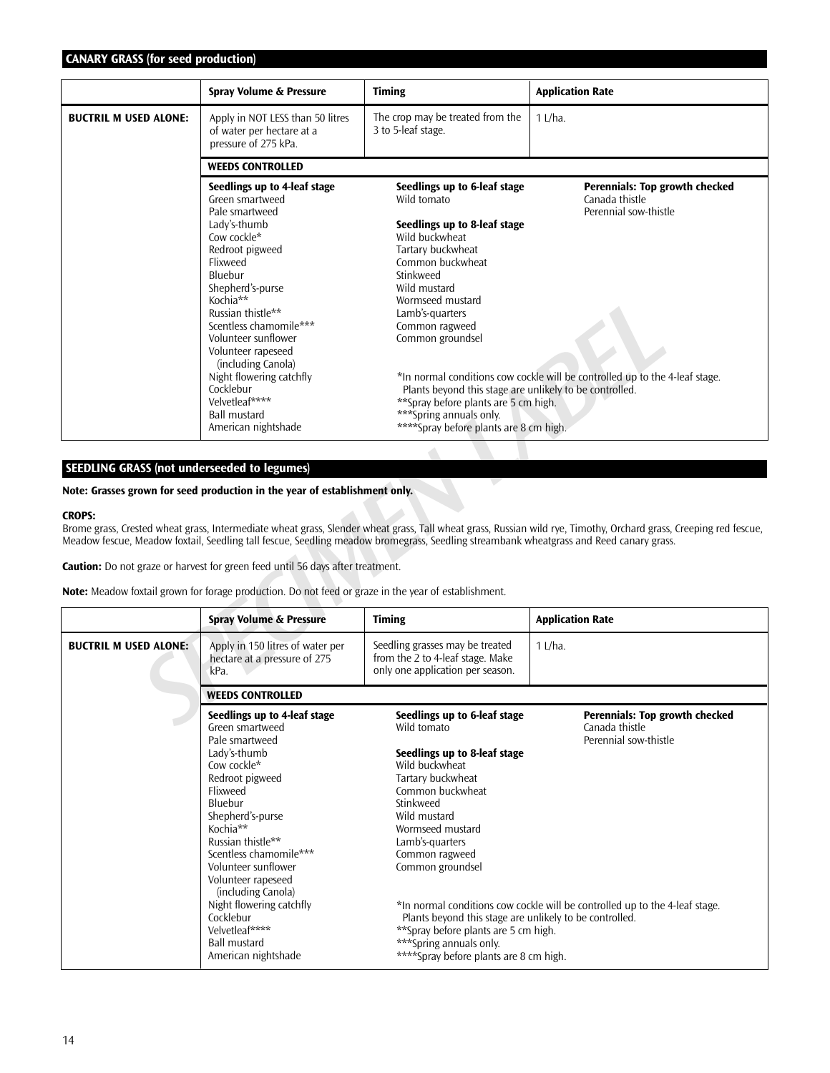# **CANARY GRASS (for seed production)**

|                                                    | Spray Volume & Pressure                                                                                                                                                                                                                                                                                                                                                                               | <b>Timing</b>                                                                                                                                                                                                                                                                                                                                                                                                             | <b>Application Rate</b>                                                                                                                                           |  |
|----------------------------------------------------|-------------------------------------------------------------------------------------------------------------------------------------------------------------------------------------------------------------------------------------------------------------------------------------------------------------------------------------------------------------------------------------------------------|---------------------------------------------------------------------------------------------------------------------------------------------------------------------------------------------------------------------------------------------------------------------------------------------------------------------------------------------------------------------------------------------------------------------------|-------------------------------------------------------------------------------------------------------------------------------------------------------------------|--|
| <b>BUCTRIL M USED ALONE:</b>                       | Apply in NOT LESS than 50 litres<br>of water per hectare at a<br>pressure of 275 kPa.                                                                                                                                                                                                                                                                                                                 | The crop may be treated from the<br>3 to 5-leaf stage.                                                                                                                                                                                                                                                                                                                                                                    | 1 L/ha.                                                                                                                                                           |  |
|                                                    | <b>WEEDS CONTROLLED</b>                                                                                                                                                                                                                                                                                                                                                                               |                                                                                                                                                                                                                                                                                                                                                                                                                           |                                                                                                                                                                   |  |
|                                                    | Seedlings up to 4-leaf stage<br>Green smartweed<br>Pale smartweed<br>Lady's-thumb<br>Cow cockle*<br>Redroot pigweed<br>Flixweed<br>Bluebur<br>Shepherd's-purse<br>Kochia**<br>Russian thistle**<br>Scentless chamomile***<br>Volunteer sunflower<br>Volunteer rapeseed<br>(including Canola)<br>Night flowering catchfly<br>Cocklebur<br>Velvetleaf****<br><b>Ball mustard</b><br>American nightshade | Seedlings up to 6-leaf stage<br>Wild tomato<br>Seedlings up to 8-leaf stage<br>Wild buckwheat<br>Tartary buckwheat<br>Common buckwheat<br>Stinkweed<br>Wild mustard<br>Wormseed mustard<br>Lamb's-quarters<br>Common ragweed<br>Common groundsel<br>Plants beyond this stage are unlikely to be controlled.<br>**Spray before plants are 5 cm high.<br>*** Spring annuals only.<br>****Spray before plants are 8 cm high. | <b>Perennials: Top growth checked</b><br>Canada thistle<br>Perennial sow-thistle<br>*In normal conditions cow cockle will be controlled up to the 4-leaf stage.   |  |
|                                                    |                                                                                                                                                                                                                                                                                                                                                                                                       |                                                                                                                                                                                                                                                                                                                                                                                                                           |                                                                                                                                                                   |  |
| <b>SEEDLING GRASS (not underseeded to legumes)</b> |                                                                                                                                                                                                                                                                                                                                                                                                       |                                                                                                                                                                                                                                                                                                                                                                                                                           |                                                                                                                                                                   |  |
|                                                    | Note: Grasses grown for seed production in the year of establishment only.                                                                                                                                                                                                                                                                                                                            |                                                                                                                                                                                                                                                                                                                                                                                                                           |                                                                                                                                                                   |  |
| <b>CROPS:</b>                                      | <b>Caution:</b> Do not graze or harvest for green feed until 56 days after treatment.                                                                                                                                                                                                                                                                                                                 | Meadow fescue, Meadow foxtail, Seedling tall fescue, Seedling meadow bromegrass, Seedling streambank wheatgrass and Reed canary grass.                                                                                                                                                                                                                                                                                    | Brome grass, Crested wheat grass, Intermediate wheat grass, Slender wheat grass, Tall wheat grass, Russian wild rye, Timothy, Orchard grass, Creeping red fescue, |  |
|                                                    | Note: Meadow foxtail grown for forage production. Do not feed or graze in the year of establishment.                                                                                                                                                                                                                                                                                                  |                                                                                                                                                                                                                                                                                                                                                                                                                           |                                                                                                                                                                   |  |
|                                                    | Spray Volume & Pressure                                                                                                                                                                                                                                                                                                                                                                               | <b>Timing</b>                                                                                                                                                                                                                                                                                                                                                                                                             | <b>Application Rate</b>                                                                                                                                           |  |
| <b>BUCTRIL M USED ALONE:</b>                       | Apply in 150 litres of water per<br>hectare at a pressure of 275<br>kPa.                                                                                                                                                                                                                                                                                                                              | Seedling grasses may be treated<br>from the 2 to 4-leaf stage. Make<br>only one application per season.                                                                                                                                                                                                                                                                                                                   | $1$ L/ha.                                                                                                                                                         |  |
|                                                    | <b>WEEDS CONTROLLED</b>                                                                                                                                                                                                                                                                                                                                                                               |                                                                                                                                                                                                                                                                                                                                                                                                                           |                                                                                                                                                                   |  |
|                                                    | Seedlings up to 4-leaf stage<br>Green smartweed                                                                                                                                                                                                                                                                                                                                                       | Seedlings up to 6-leaf stage<br>Wild tomato                                                                                                                                                                                                                                                                                                                                                                               | <b>Perennials: Top growth checked</b><br>Canada thistle                                                                                                           |  |

## **SEEDLING GRASS (not underseeded to legumes)**

#### **CROPS:**

|                              | <b>Spray Volume &amp; Pressure</b>                                                                                                                                                                                                                                                                                                                                                                    | <b>Timing</b>                                                                                                                                                                                                                                                                                                                                                                                                            | <b>Application Rate</b>                                                                                                                                  |  |  |
|------------------------------|-------------------------------------------------------------------------------------------------------------------------------------------------------------------------------------------------------------------------------------------------------------------------------------------------------------------------------------------------------------------------------------------------------|--------------------------------------------------------------------------------------------------------------------------------------------------------------------------------------------------------------------------------------------------------------------------------------------------------------------------------------------------------------------------------------------------------------------------|----------------------------------------------------------------------------------------------------------------------------------------------------------|--|--|
| <b>BUCTRIL M USED ALONE:</b> | Apply in 150 litres of water per<br>hectare at a pressure of 275<br>kPa.                                                                                                                                                                                                                                                                                                                              | Seedling grasses may be treated<br>from the 2 to 4-leaf stage. Make<br>only one application per season.                                                                                                                                                                                                                                                                                                                  | $1$ L/ha.                                                                                                                                                |  |  |
|                              | <b>WEEDS CONTROLLED</b>                                                                                                                                                                                                                                                                                                                                                                               |                                                                                                                                                                                                                                                                                                                                                                                                                          |                                                                                                                                                          |  |  |
|                              | Seedlings up to 4-leaf stage<br>Green smartweed<br>Pale smartweed<br>Lady's-thumb<br>Cow cockle*<br>Redroot pigweed<br>Flixweed<br>Bluebur<br>Shepherd's-purse<br>Kochia**<br>Russian thistle**<br>Scentless chamomile***<br>Volunteer sunflower<br>Volunteer rapeseed<br>(including Canola)<br>Night flowering catchfly<br>Cocklebur<br>Velvetleaf****<br><b>Ball mustard</b><br>American nightshade | Seedlings up to 6-leaf stage<br>Wild tomato<br>Seedlings up to 8-leaf stage<br>Wild buckwheat<br>Tartary buckwheat<br>Common buckwheat<br>Stinkweed<br>Wild mustard<br>Wormseed mustard<br>Lamb's-quarters<br>Common ragweed<br>Common groundsel<br>Plants beyond this stage are unlikely to be controlled.<br>**Spray before plants are 5 cm high.<br>***Spring annuals only.<br>****Spray before plants are 8 cm high. | Perennials: Top growth checked<br>Canada thistle<br>Perennial sow-thistle<br>*In normal conditions cow cockle will be controlled up to the 4-leaf stage. |  |  |